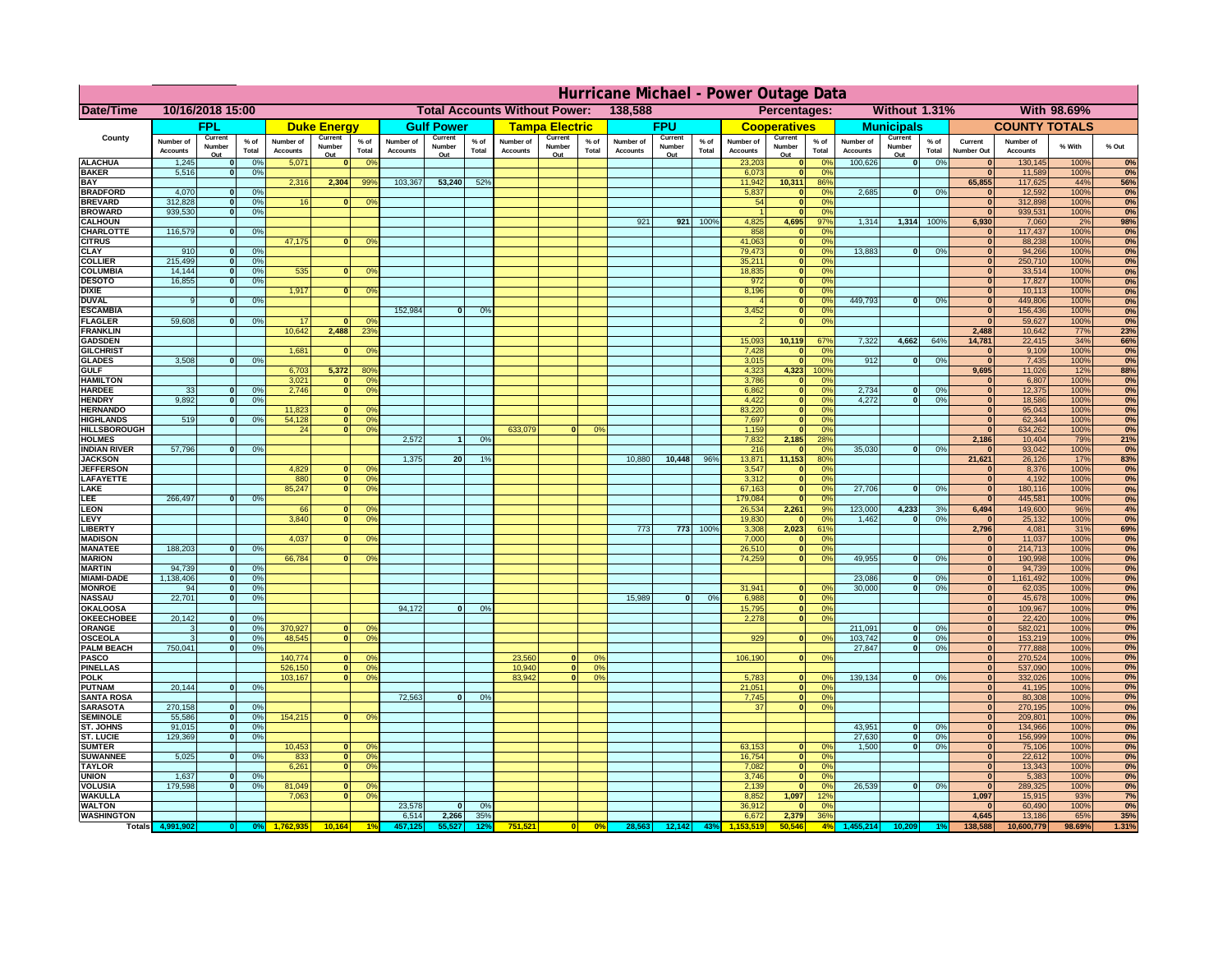| 138,588<br>Without 1.31%<br>With 98.69%<br>Date/Time<br>10/16/2018 15:00<br><b>Total Accounts Without Power:</b><br>Percentages:<br><b>FPU</b><br><b>FPL</b><br><b>Gulf Power</b><br><b>Tampa Electric</b><br><b>Municipals</b><br><b>COUNTY TOTALS</b><br><b>Duke Energy</b><br><b>Cooperatives</b><br>County<br>Current<br>Current<br>Current<br>Current<br>Current<br>Current<br>Current<br>$%$ of<br>$%$ of<br>$%$ of<br>$%$ of<br>Number of<br>$%$ of<br>Number of<br>Number of<br>$%$ of<br>Number of<br>Number of<br>$%$ of<br>Number of<br>Number of<br>Current<br>Number of<br>% With<br>% Out<br>Number<br>Number<br>Number<br>Number<br>Number<br>Number<br>Number<br>Total<br>Total<br>Total<br>Total<br>Total<br><b>Accounts</b><br>Total<br><b>Accounts</b><br><b>Accounts</b><br><b>Accounts</b><br>Total<br><b>Accounts</b><br><b>Accounts</b><br><b>Number Out</b><br><b>Accounts</b><br><b>Accounts</b><br>Out<br>Out<br>Out<br>Out<br>Out<br>Out<br>Out<br><b>ALACHUA</b><br>1,245<br>0%<br>5,071<br>0 <sup>9</sup><br>23,203<br>100,626<br>$\overline{\mathbf{0}}$<br>0%<br>130,145<br>100%<br>0%<br>$\mathbf{0}$<br>$\mathbf{0}$<br>$\mathbf{0}$<br>$\Omega$ <sup>c</sup><br>$\bf{0}$<br><b>BAKER</b><br>5,516<br>0%<br>6,073<br>0 <sup>9</sup><br>11,589<br>100%<br>$\mathbf{0}$<br>$\mathbf{0}$<br>$\bf{0}$<br><b>BAY</b><br>2,316<br>2,304<br>99%<br>103,367<br>53,240<br>52%<br>11,942<br>10,311<br>86%<br>65,855<br>117,625<br>44%<br>56%<br><b>BRADFORD</b><br>4,070<br>0%<br>5,837<br>2,685<br> 0 <br>0%<br>12,592<br>100%<br>$\mathbf{0}$<br>0 <sup>9</sup><br>$\bf{0}$<br>0%<br>0<br><b>BREVARD</b><br>312,828<br>0%<br>16<br>54<br>0 <sup>9</sup><br>312,898<br>100%<br>0%<br>$\mathbf{0}$<br>$\mathbf{0}$<br>0 <sup>o</sup><br>$\mathbf{0}$<br>$\bf{0}$<br><b>BROWARD</b><br>939.530<br>0%<br>0 <sup>9</sup><br>939,531<br>100%<br>$\Omega$<br>$\bf{0}$<br>921<br>4,825<br>1,314<br>1,314<br>6,930<br><b>CALHOUN</b><br>921<br>100%<br>4,695<br>97%<br>100%<br>7,060<br>2%<br>98%<br>116,579<br>858<br>100%<br>0%<br>CHARLOTTE<br>0%<br>0%<br>117,437<br>$\mathbf{0}$<br>47,175<br>41,063<br>88,238<br>100%<br><b>CITRUS</b><br>0 <sup>o</sup><br>$\mathbf{0}$<br>$\Omega$ <sup>c</sup><br>$\mathbf{0}$<br>$\bf{0}$<br>79,473<br><b>CLAY</b><br>13,883<br>94,266<br>100%<br>910<br>0%<br>$\mathbf{0}$<br>0 <sup>9</sup><br> 0 <br>0%<br>$\mathbf{0}$<br>$\mathbf{0}$<br>215,499<br><b>COLLIER</b><br>35,211<br>0 <sup>9</sup><br>250,710<br>100%<br>0%<br>$\mathbf{0}$<br>0 <sup>9</sup><br>$\mathbf{0}$<br>$\mathbf{0}$<br>535<br><b>COLUMBIA</b><br>14,144<br>18,835<br>0 <sup>9</sup><br>33,514<br>100%<br>0%<br>$\mathbf{0}$<br>0 <sup>9</sup><br>0 <sup>9</sup><br>$\mathbf{0}$<br>$\bf{0}$<br>$\bf{0}$<br>16,855<br>972<br>17,827<br><b>DESOTO</b><br>0 <sup>9</sup><br>100%<br>$\mathbf{0}$<br>0%<br>$\mathbf{0}$<br>$\bf{0}$<br>1,917<br>8,196<br>10,113<br>100%<br><b>DIXIE</b><br>0 <sup>9</sup><br>$\mathbf{0}$<br>0 <sup>9</sup><br>$\bf{0}$<br>$\Omega$<br>449.793<br><b>DUVAL</b><br>0%<br>0%<br>449,806<br>100%<br>0%<br>$\mathbf{0}$<br>0 <sup>9</sup><br>$\mathbf{0}$<br>9<br>$\Omega$<br>$\bf{0}$<br>152,984<br>3,452<br><b>ESCAMBIA</b><br>0%<br>156,436<br>100%<br>0%<br>0%<br>$\mathbf{0}$<br>$\Omega$<br>$\bf{0}$<br><b>FLAGLER</b><br>59,608<br>0%<br>59,627<br>100%<br>0%<br>17<br>$\sqrt{2}$<br>$\mathbf{o}$<br>0°<br>$\mathbf{0}$<br>10,642<br>2,488<br>23 <sup>o</sup><br>2,488<br>10,642<br><b>FRANKLIN</b><br>77%<br>10,119<br>7,322<br>4,662<br>64%<br>14,781<br>22,415<br>34%<br>66%<br><b>GADSDEN</b><br>15,093<br>67%<br>1,681<br>7,428<br>9,109<br>100%<br>0%<br><b>GILCHRIST</b><br>0 <sup>9</sup><br>0%<br>$\mathbf{0}$<br>$\mathbf{0}$<br>$\mathbf{0}$<br>3,508<br>0%<br>3,015<br>0 <sup>9</sup><br>912<br>0%<br>7,435<br>100%<br><b>GLADES</b><br>$\mathbf{0}$<br>$\mathbf{0}$<br>$\mathbf{0}$<br>$\Omega$<br>5,372<br>6,703<br>80%<br>4,323<br>4,323<br>100%<br>9,695<br>11,026<br>12%<br><b>GULF</b><br><b>HAMILTON</b><br>3,021<br>0 <sup>9</sup><br>3,786<br>6,807<br>100%<br>$\Omega$<br>0 <sup>9</sup><br>$\mathbf{0}$<br>0%<br>$\Omega$<br>33<br>0%<br>2.746<br>6.862<br>2.734<br>12,375<br>100%<br><b>HARDEE</b><br>$\Omega$<br>0 <sup>9</sup><br>$\mathbf{0}$<br>0%<br>$\mathbf{0}$<br>0%<br>$\mathbf{0}$<br>0%<br>$\mathbf{0}$<br><b>HENDRY</b><br>9.892<br>0%<br>4,422<br>$\overline{0}$<br>4.272<br>0%<br>18,586<br>100%<br>0I<br>0%<br> 0 <br>$\mathbf{0}$<br>0%<br><b>HERNANDO</b><br>11,823<br>83,220<br>95,043<br>100%<br>0 <sup>9</sup><br>$\mathbf{0}$<br>0%<br>$\mathbf{0}$<br><b>HIGHLANDS</b><br>519<br>0%<br>54,128<br> 0 <br>0 <sup>9</sup><br>7,697<br>62,344<br>100%<br>$\mathbf{0}$<br>0%<br>$\mathbf{0}$<br>0%<br><b>HILLSBOROUGH</b><br>$\overline{0}$<br>0%<br>633,079<br>1,159<br>634,262<br>100%<br>24<br>0%<br>$\mathbf{0}$<br>0 <sup>9</sup><br>$\bf{0}$<br>0%<br><b>HOLMES</b><br>2,572<br>0%<br>7,832<br>2,185<br>28%<br>2,186<br>10,404<br>79%<br><b>INDIAN RIVER</b><br>57,796<br>0%<br>216<br>35,030<br>0%<br>93,042<br>100%<br>$\mathbf{0}$<br>0 <sup>9</sup><br>$\mathbf{0}$<br>$\mathbf{0}$<br><b>JACKSON</b><br>1.375<br>20 <sup>1</sup><br>10,880<br>10,448<br>96%<br>13,871<br>11,153<br>80%<br>21,621<br>26,126<br>17%<br>1%<br>83%<br><b>JEFFERSOI</b><br>4,829<br>3,547<br>0 <sup>9</sup><br>8,376<br>100%<br>n.<br>O <sup>9</sup><br>$\mathbf{0}$<br>$\bf{0}$<br>0%<br><b>LAFAYETTE</b><br>880<br>$\overline{0}$<br>0 <sup>9</sup><br>3,312<br>$\mathbf{0}$<br>0%<br>$\mathbf{0}$<br>4,192<br>100%<br>85,247<br>LAKE<br> 0 <br>0 <sup>9</sup><br>67,163<br>$\mathbf{0}$<br>0 <sup>9</sup><br>27,706<br>0%<br>$\mathbf{0}$<br>180,116<br>100%<br>$\Omega$<br>266,497<br>LEE<br>0%<br>179,084<br>0%<br>$\mathbf{0}$<br>445,581<br>100%<br>0%<br>nl<br>$\Omega$<br>LEON<br>26,534<br>2,261<br>123,000<br>4,233<br>3%<br>6,494<br>149,600<br>96%<br>4%<br>66<br>0 <sup>o</sup><br>9%<br>LEVY<br>3,840<br>0 <sup>9</sup><br>19,830<br>1,462<br>0%<br>25,132<br>100%<br>$\Omega$<br>0 <sup>9</sup><br>$\mathbf{0}$<br>$\mathbf{0}$<br>LIBERTY<br>773<br>773<br>100%<br>3,308<br>2,023<br>61%<br>2,796<br>4,081<br>31%<br>0%<br><b>MADISON</b><br>4,037<br>7,000<br>11,037<br>100%<br>0 <sup>9</sup><br>0%<br>$\mathbf{0}$<br>188,203<br>0%<br><b>MANATEE</b><br>$\mathbf{0}$<br>0%<br>26,510<br>0%<br> 0 <br>214,713<br>100%<br>66,784<br>49,955<br><b>MARION</b><br>74,259<br>0%<br>$\mathbf{0}$<br>0%<br> 0 <br>190,998<br>100%<br>0°<br>$\Omega$<br>94,739<br><b>MARTIN</b><br> 0 <br>0%<br> 0 <br>94,739<br>100%<br>0%<br>1,138,406<br>23,086<br><b>MIAMI-DADE</b><br> 0 <br>0%<br>$\Omega$<br>0%<br> 0 <br>1,161,492<br>100%<br>0%<br><b>MONROE</b><br>31,941<br>94<br> 0 <br>0%<br>30,000<br>$\Omega$<br>0%<br>$\mathbf{0}$<br>62,035<br>100%<br>0 <sup>o</sup><br>22,701<br>15,989<br><b>NASSAU</b><br> 0 <br>0%<br> 0 <br>0%<br>6,988<br>$\mathbf{0}$<br>0 <sup>9</sup><br>$\mathbf{0}$<br>45,678<br>100%<br>94,172<br>OKALOOS/<br>0%<br>0%<br>$\mathbf{0}$<br>15,795<br> 0 <br>$\mathbf{0}$<br>109,967<br>100%<br>20,142<br>0%<br>0%<br><b>OKEECHOBEE</b><br>2,278<br>0%<br> 0 <br> 0 <br>$\mathbf{0}$<br>22,420<br>100%<br>211,091<br>370,927<br>0%<br>ORANGE<br>0%<br>582,021<br>100%<br> 0 <br>$\mathbf{0}$<br>0 <sup>o</sup><br> 0 <br>0%<br>$\mathbf{0}$<br>3<br>48,545<br>929<br>103,742<br>0%<br>0 <sup>9</sup><br>0%<br>153,219<br><b>OSCEOLA</b><br> 0 <br>$\Omega$<br>$\Omega$<br>0 <sup>9</sup><br> 0 <br> 0 <br>100%<br>3<br>750,041<br><b>PALM BEACH</b><br>27,847<br>0%<br>777,888<br>0%<br>$\mathbf{0}$<br>$\mathbf{0}$<br>100%<br> 0 <br>140,774<br><b>PASCO</b><br>23,560<br>106,190<br>270,524<br>100%<br>0 <sup>9</sup><br> 0 <br>0 <sup>9</sup><br>$\mathbf{0}$<br>0%<br>$\mathbf{0}$<br>$\Omega$<br>0 <sup>2</sup><br><b>PINELLAS</b><br>526,150<br>0 <sup>9</sup><br>10,940<br>537,090<br>100%<br> 0 <br>0%<br>$\mathbf{0}$<br>0%<br>$\Omega$<br>83,942<br>139,134<br><b>POLK</b><br>103,167<br>0 <sup>9</sup><br> 0 <br>0%<br>5,783<br> 0 <br>0%<br>332,026<br>100%<br> 0 <br>$\mathbf{0}$<br>$\Omega$<br>no<br>20,144<br>0%<br>21,051<br><b>PUTNAM</b><br> 0 <br>0 <sup>9</sup><br>41,195<br>100%<br>$\mathbf{0}$<br>$\mathbf{0}$<br>72,563<br><b>SANTA ROSA</b><br> 0 <br>0%<br>7,745<br> 0 <br>0%<br>80,308<br>100%<br>0%<br>$\mathbf{0}$<br>270,158<br>$\overline{0}$<br><b>SARASOTA</b><br>0<br>0%<br>37<br>0%<br>$\mathbf{0}$<br>270,195<br>100%<br>0%<br>55,586<br>154,215<br><b>SEMINOLE</b><br> 0 <br>0%<br>$\mathbf{0}$<br>0 <sup>9</sup><br>$\mathbf{0}$<br>209,801<br>100%<br>91,015<br>43,951<br><b>ST. JOHNS</b><br>0<br>0%<br> 0 <br>0%<br>$\mathbf{0}$<br>134,966<br>100%<br>129.369<br>27,630<br>0%<br>156.999<br>0%<br><b>ST. LUCIE</b><br>$\mathbf{0}$<br>0%<br>$\overline{0}$<br> 0 <br>100%<br>10,453<br>63,153<br>1.500<br>0%<br>75,106<br>0%<br><b>SUMTER</b><br>$\mathbf{0}$<br>0 <sup>9</sup><br> 0 <br>$\mathbf{0}$<br>100%<br>$\mathbf{0}$<br>0 <sup>o</sup><br>5,025<br><b>SUWANNEE</b><br>0%<br> 0 <br>0 <sup>9</sup><br>16,754<br>22,612<br>100%<br>$\Omega$<br>833<br>$\mathbf{0}$<br>0 <sup>9</sup><br>$\mathbf{0}$<br><b>TAYLOR</b><br>6,261<br> 0 <br>0 <sup>9</sup><br>7,082<br>$\mathbf{0}$<br>13,343<br>100%<br>0%<br>$\mathbf{0}$<br><b>UNION</b><br>1,637<br>0%<br>3,746<br>5,383<br>100%<br>0%<br>$\mathbf{0}$<br>$\mathbf{0}$<br>0 <sup>9</sup><br>$\mathbf{0}$<br>26,539<br><b>VOLUSIA</b><br>179,598<br>0%<br>81,049<br>2,139<br> 0 <br>0%<br>289,325<br>100%<br>0%<br>$\mathbf{0}$<br>$\bf{0}$<br>0 <sup>9</sup><br>$\mathbf{0}$<br>0 <sup>9</sup><br>$\mathbf{0}$<br><b>WAKULLA</b><br>7,063<br>0 <sup>9</sup><br>8,852<br>1,097<br>1,097<br>15,915<br>93%<br>$\mathbf{0}$<br>12%<br>23,578<br><b>WALTON</b><br>0%<br>36,912<br>60,490<br>100%<br>$\mathbf{0}$<br>$\mathbf{0}$<br>0 <sup>9</sup><br>$\bf{0}$<br>2,266<br>6,514<br>2,379<br>4,645<br><b>WASHINGTON</b><br>35%<br>6,672<br>36%<br>13,186<br>65%<br>35%<br>751,521<br>0%<br>28,563<br>50,546<br>4%<br>138.588<br>10,600,779<br>1.31%<br><b>Totals</b><br>10.164<br>12,142<br>43<br>10,209<br>98.69% | Hurricane Michael - Power Outage Data |  |  |  |  |  |  |  |  |  |  |  |  |  |  |  |  |  |  |  |  |            |
|---------------------------------------------------------------------------------------------------------------------------------------------------------------------------------------------------------------------------------------------------------------------------------------------------------------------------------------------------------------------------------------------------------------------------------------------------------------------------------------------------------------------------------------------------------------------------------------------------------------------------------------------------------------------------------------------------------------------------------------------------------------------------------------------------------------------------------------------------------------------------------------------------------------------------------------------------------------------------------------------------------------------------------------------------------------------------------------------------------------------------------------------------------------------------------------------------------------------------------------------------------------------------------------------------------------------------------------------------------------------------------------------------------------------------------------------------------------------------------------------------------------------------------------------------------------------------------------------------------------------------------------------------------------------------------------------------------------------------------------------------------------------------------------------------------------------------------------------------------------------------------------------------------------------------------------------------------------------------------------------------------------------------------------------------------------------------------------------------------------------------------------------------------------------------------------------------------------------------------------------------------------------------------------------------------------------------------------------------------------------------------------------------------------------------------------------------------------------------------------------------------------------------------------------------------------------------------------------------------------------------------------------------------------------------------------------------------------------------------------------------------------------------------------------------------------------------------------------------------------------------------------------------------------------------------------------------------------------------------------------------------------------------------------------------------------------------------------------------------------------------------------------------------------------------------------------------------------------------------------------------------------------------------------------------------------------------------------------------------------------------------------------------------------------------------------------------------------------------------------------------------------------------------------------------------------------------------------------------------------------------------------------------------------------------------------------------------------------------------------------------------------------------------------------------------------------------------------------------------------------------------------------------------------------------------------------------------------------------------------------------------------------------------------------------------------------------------------------------------------------------------------------------------------------------------------------------------------------------------------------------------------------------------------------------------------------------------------------------------------------------------------------------------------------------------------------------------------------------------------------------------------------------------------------------------------------------------------------------------------------------------------------------------------------------------------------------------------------------------------------------------------------------------------------------------------------------------------------------------------------------------------------------------------------------------------------------------------------------------------------------------------------------------------------------------------------------------------------------------------------------------------------------------------------------------------------------------------------------------------------------------------------------------------------------------------------------------------------------------------------------------------------------------------------------------------------------------------------------------------------------------------------------------------------------------------------------------------------------------------------------------------------------------------------------------------------------------------------------------------------------------------------------------------------------------------------------------------------------------------------------------------------------------------------------------------------------------------------------------------------------------------------------------------------------------------------------------------------------------------------------------------------------------------------------------------------------------------------------------------------------------------------------------------------------------------------------------------------------------------------------------------------------------------------------------------------------------------------------------------------------------------------------------------------------------------------------------------------------------------------------------------------------------------------------------------------------------------------------------------------------------------------------------------------------------------------------------------------------------------------------------------------------------------------------------------------------------------------------------------------------------------------------------------------------------------------------------------------------------------------------------------------------------------------------------------------------------------------------------------------------------------------------------------------------------------------------------------------------------------------------------------------------------------------------------------------------------------------------------------------------------------------------------------------------------------------------------------------------------------------------------------------------------------------------------------------------------------------------------------------------------------------------------------------------------------------------------------------------------------------------------------------------------------------------------------------------------------------------------------------------------------------------------------------------------------------------------------------------------------------------------------------------------------------------------------------------------------------------------------------------------------------------------------------------------------------------------------------------------------------------------------------------------------------------------------------------------------------------------------------------------------------------------------------------------------------------------------------------------------------------------------------------------------------------------------------------------------------------------------------------------------------------------------------------------------------------------------------------------------------------------------------------------------------------------------------------------------------------------------------------------------------------------------------------------------------------------------------------------------------------------------------------------------------------------------------------------------------------------------------------------------------------------------------------------------------------------------------------------------------------------------------------------------------------------------------------------------------------------------------------------------------------------------------------------------------------------------------------------------------------------------------------------------------------------------------------------------------------------------------------------------------------------------------------------------------------------------------------------------------------------------------------------------------------------------------------------------------------------------------------------------------------------------------------------------|---------------------------------------|--|--|--|--|--|--|--|--|--|--|--|--|--|--|--|--|--|--|--|--|------------|
|                                                                                                                                                                                                                                                                                                                                                                                                                                                                                                                                                                                                                                                                                                                                                                                                                                                                                                                                                                                                                                                                                                                                                                                                                                                                                                                                                                                                                                                                                                                                                                                                                                                                                                                                                                                                                                                                                                                                                                                                                                                                                                                                                                                                                                                                                                                                                                                                                                                                                                                                                                                                                                                                                                                                                                                                                                                                                                                                                                                                                                                                                                                                                                                                                                                                                                                                                                                                                                                                                                                                                                                                                                                                                                                                                                                                                                                                                                                                                                                                                                                                                                                                                                                                                                                                                                                                                                                                                                                                                                                                                                                                                                                                                                                                                                                                                                                                                                                                                                                                                                                                                                                                                                                                                                                                                                                                                                                                                                                                                                                                                                                                                                                                                                                                                                                                                                                                                                                                                                                                                                                                                                                                                                                                                                                                                                                                                                                                                                                                                                                                                                                                                                                                                                                                                                                                                                                                                                                                                                                                                                                                                                                                                                                                                                                                                                                                                                                                                                                                                                                                                                                                                                                                                                                                                                                                                                                                                                                                                                                                                                                                                                                                                                                                                                                                                                                                                                                                                                                                                                                                                                                                                                                                                                                                                                                                                                                                                                                                                                                                                                                                                                                                                                                                                                                                                                                                                                                                                                                                                                                                                                                                                                                                                                                                                                                                                                                                                                                                                                                                                                                               |                                       |  |  |  |  |  |  |  |  |  |  |  |  |  |  |  |  |  |  |  |  |            |
|                                                                                                                                                                                                                                                                                                                                                                                                                                                                                                                                                                                                                                                                                                                                                                                                                                                                                                                                                                                                                                                                                                                                                                                                                                                                                                                                                                                                                                                                                                                                                                                                                                                                                                                                                                                                                                                                                                                                                                                                                                                                                                                                                                                                                                                                                                                                                                                                                                                                                                                                                                                                                                                                                                                                                                                                                                                                                                                                                                                                                                                                                                                                                                                                                                                                                                                                                                                                                                                                                                                                                                                                                                                                                                                                                                                                                                                                                                                                                                                                                                                                                                                                                                                                                                                                                                                                                                                                                                                                                                                                                                                                                                                                                                                                                                                                                                                                                                                                                                                                                                                                                                                                                                                                                                                                                                                                                                                                                                                                                                                                                                                                                                                                                                                                                                                                                                                                                                                                                                                                                                                                                                                                                                                                                                                                                                                                                                                                                                                                                                                                                                                                                                                                                                                                                                                                                                                                                                                                                                                                                                                                                                                                                                                                                                                                                                                                                                                                                                                                                                                                                                                                                                                                                                                                                                                                                                                                                                                                                                                                                                                                                                                                                                                                                                                                                                                                                                                                                                                                                                                                                                                                                                                                                                                                                                                                                                                                                                                                                                                                                                                                                                                                                                                                                                                                                                                                                                                                                                                                                                                                                                                                                                                                                                                                                                                                                                                                                                                                                                                                                                                               |                                       |  |  |  |  |  |  |  |  |  |  |  |  |  |  |  |  |  |  |  |  |            |
|                                                                                                                                                                                                                                                                                                                                                                                                                                                                                                                                                                                                                                                                                                                                                                                                                                                                                                                                                                                                                                                                                                                                                                                                                                                                                                                                                                                                                                                                                                                                                                                                                                                                                                                                                                                                                                                                                                                                                                                                                                                                                                                                                                                                                                                                                                                                                                                                                                                                                                                                                                                                                                                                                                                                                                                                                                                                                                                                                                                                                                                                                                                                                                                                                                                                                                                                                                                                                                                                                                                                                                                                                                                                                                                                                                                                                                                                                                                                                                                                                                                                                                                                                                                                                                                                                                                                                                                                                                                                                                                                                                                                                                                                                                                                                                                                                                                                                                                                                                                                                                                                                                                                                                                                                                                                                                                                                                                                                                                                                                                                                                                                                                                                                                                                                                                                                                                                                                                                                                                                                                                                                                                                                                                                                                                                                                                                                                                                                                                                                                                                                                                                                                                                                                                                                                                                                                                                                                                                                                                                                                                                                                                                                                                                                                                                                                                                                                                                                                                                                                                                                                                                                                                                                                                                                                                                                                                                                                                                                                                                                                                                                                                                                                                                                                                                                                                                                                                                                                                                                                                                                                                                                                                                                                                                                                                                                                                                                                                                                                                                                                                                                                                                                                                                                                                                                                                                                                                                                                                                                                                                                                                                                                                                                                                                                                                                                                                                                                                                                                                                                                                               |                                       |  |  |  |  |  |  |  |  |  |  |  |  |  |  |  |  |  |  |  |  |            |
|                                                                                                                                                                                                                                                                                                                                                                                                                                                                                                                                                                                                                                                                                                                                                                                                                                                                                                                                                                                                                                                                                                                                                                                                                                                                                                                                                                                                                                                                                                                                                                                                                                                                                                                                                                                                                                                                                                                                                                                                                                                                                                                                                                                                                                                                                                                                                                                                                                                                                                                                                                                                                                                                                                                                                                                                                                                                                                                                                                                                                                                                                                                                                                                                                                                                                                                                                                                                                                                                                                                                                                                                                                                                                                                                                                                                                                                                                                                                                                                                                                                                                                                                                                                                                                                                                                                                                                                                                                                                                                                                                                                                                                                                                                                                                                                                                                                                                                                                                                                                                                                                                                                                                                                                                                                                                                                                                                                                                                                                                                                                                                                                                                                                                                                                                                                                                                                                                                                                                                                                                                                                                                                                                                                                                                                                                                                                                                                                                                                                                                                                                                                                                                                                                                                                                                                                                                                                                                                                                                                                                                                                                                                                                                                                                                                                                                                                                                                                                                                                                                                                                                                                                                                                                                                                                                                                                                                                                                                                                                                                                                                                                                                                                                                                                                                                                                                                                                                                                                                                                                                                                                                                                                                                                                                                                                                                                                                                                                                                                                                                                                                                                                                                                                                                                                                                                                                                                                                                                                                                                                                                                                                                                                                                                                                                                                                                                                                                                                                                                                                                                                                               |                                       |  |  |  |  |  |  |  |  |  |  |  |  |  |  |  |  |  |  |  |  |            |
|                                                                                                                                                                                                                                                                                                                                                                                                                                                                                                                                                                                                                                                                                                                                                                                                                                                                                                                                                                                                                                                                                                                                                                                                                                                                                                                                                                                                                                                                                                                                                                                                                                                                                                                                                                                                                                                                                                                                                                                                                                                                                                                                                                                                                                                                                                                                                                                                                                                                                                                                                                                                                                                                                                                                                                                                                                                                                                                                                                                                                                                                                                                                                                                                                                                                                                                                                                                                                                                                                                                                                                                                                                                                                                                                                                                                                                                                                                                                                                                                                                                                                                                                                                                                                                                                                                                                                                                                                                                                                                                                                                                                                                                                                                                                                                                                                                                                                                                                                                                                                                                                                                                                                                                                                                                                                                                                                                                                                                                                                                                                                                                                                                                                                                                                                                                                                                                                                                                                                                                                                                                                                                                                                                                                                                                                                                                                                                                                                                                                                                                                                                                                                                                                                                                                                                                                                                                                                                                                                                                                                                                                                                                                                                                                                                                                                                                                                                                                                                                                                                                                                                                                                                                                                                                                                                                                                                                                                                                                                                                                                                                                                                                                                                                                                                                                                                                                                                                                                                                                                                                                                                                                                                                                                                                                                                                                                                                                                                                                                                                                                                                                                                                                                                                                                                                                                                                                                                                                                                                                                                                                                                                                                                                                                                                                                                                                                                                                                                                                                                                                                                                               |                                       |  |  |  |  |  |  |  |  |  |  |  |  |  |  |  |  |  |  |  |  | 0%         |
|                                                                                                                                                                                                                                                                                                                                                                                                                                                                                                                                                                                                                                                                                                                                                                                                                                                                                                                                                                                                                                                                                                                                                                                                                                                                                                                                                                                                                                                                                                                                                                                                                                                                                                                                                                                                                                                                                                                                                                                                                                                                                                                                                                                                                                                                                                                                                                                                                                                                                                                                                                                                                                                                                                                                                                                                                                                                                                                                                                                                                                                                                                                                                                                                                                                                                                                                                                                                                                                                                                                                                                                                                                                                                                                                                                                                                                                                                                                                                                                                                                                                                                                                                                                                                                                                                                                                                                                                                                                                                                                                                                                                                                                                                                                                                                                                                                                                                                                                                                                                                                                                                                                                                                                                                                                                                                                                                                                                                                                                                                                                                                                                                                                                                                                                                                                                                                                                                                                                                                                                                                                                                                                                                                                                                                                                                                                                                                                                                                                                                                                                                                                                                                                                                                                                                                                                                                                                                                                                                                                                                                                                                                                                                                                                                                                                                                                                                                                                                                                                                                                                                                                                                                                                                                                                                                                                                                                                                                                                                                                                                                                                                                                                                                                                                                                                                                                                                                                                                                                                                                                                                                                                                                                                                                                                                                                                                                                                                                                                                                                                                                                                                                                                                                                                                                                                                                                                                                                                                                                                                                                                                                                                                                                                                                                                                                                                                                                                                                                                                                                                                                                               |                                       |  |  |  |  |  |  |  |  |  |  |  |  |  |  |  |  |  |  |  |  |            |
|                                                                                                                                                                                                                                                                                                                                                                                                                                                                                                                                                                                                                                                                                                                                                                                                                                                                                                                                                                                                                                                                                                                                                                                                                                                                                                                                                                                                                                                                                                                                                                                                                                                                                                                                                                                                                                                                                                                                                                                                                                                                                                                                                                                                                                                                                                                                                                                                                                                                                                                                                                                                                                                                                                                                                                                                                                                                                                                                                                                                                                                                                                                                                                                                                                                                                                                                                                                                                                                                                                                                                                                                                                                                                                                                                                                                                                                                                                                                                                                                                                                                                                                                                                                                                                                                                                                                                                                                                                                                                                                                                                                                                                                                                                                                                                                                                                                                                                                                                                                                                                                                                                                                                                                                                                                                                                                                                                                                                                                                                                                                                                                                                                                                                                                                                                                                                                                                                                                                                                                                                                                                                                                                                                                                                                                                                                                                                                                                                                                                                                                                                                                                                                                                                                                                                                                                                                                                                                                                                                                                                                                                                                                                                                                                                                                                                                                                                                                                                                                                                                                                                                                                                                                                                                                                                                                                                                                                                                                                                                                                                                                                                                                                                                                                                                                                                                                                                                                                                                                                                                                                                                                                                                                                                                                                                                                                                                                                                                                                                                                                                                                                                                                                                                                                                                                                                                                                                                                                                                                                                                                                                                                                                                                                                                                                                                                                                                                                                                                                                                                                                                                               |                                       |  |  |  |  |  |  |  |  |  |  |  |  |  |  |  |  |  |  |  |  |            |
|                                                                                                                                                                                                                                                                                                                                                                                                                                                                                                                                                                                                                                                                                                                                                                                                                                                                                                                                                                                                                                                                                                                                                                                                                                                                                                                                                                                                                                                                                                                                                                                                                                                                                                                                                                                                                                                                                                                                                                                                                                                                                                                                                                                                                                                                                                                                                                                                                                                                                                                                                                                                                                                                                                                                                                                                                                                                                                                                                                                                                                                                                                                                                                                                                                                                                                                                                                                                                                                                                                                                                                                                                                                                                                                                                                                                                                                                                                                                                                                                                                                                                                                                                                                                                                                                                                                                                                                                                                                                                                                                                                                                                                                                                                                                                                                                                                                                                                                                                                                                                                                                                                                                                                                                                                                                                                                                                                                                                                                                                                                                                                                                                                                                                                                                                                                                                                                                                                                                                                                                                                                                                                                                                                                                                                                                                                                                                                                                                                                                                                                                                                                                                                                                                                                                                                                                                                                                                                                                                                                                                                                                                                                                                                                                                                                                                                                                                                                                                                                                                                                                                                                                                                                                                                                                                                                                                                                                                                                                                                                                                                                                                                                                                                                                                                                                                                                                                                                                                                                                                                                                                                                                                                                                                                                                                                                                                                                                                                                                                                                                                                                                                                                                                                                                                                                                                                                                                                                                                                                                                                                                                                                                                                                                                                                                                                                                                                                                                                                                                                                                                                                               |                                       |  |  |  |  |  |  |  |  |  |  |  |  |  |  |  |  |  |  |  |  | 0%         |
|                                                                                                                                                                                                                                                                                                                                                                                                                                                                                                                                                                                                                                                                                                                                                                                                                                                                                                                                                                                                                                                                                                                                                                                                                                                                                                                                                                                                                                                                                                                                                                                                                                                                                                                                                                                                                                                                                                                                                                                                                                                                                                                                                                                                                                                                                                                                                                                                                                                                                                                                                                                                                                                                                                                                                                                                                                                                                                                                                                                                                                                                                                                                                                                                                                                                                                                                                                                                                                                                                                                                                                                                                                                                                                                                                                                                                                                                                                                                                                                                                                                                                                                                                                                                                                                                                                                                                                                                                                                                                                                                                                                                                                                                                                                                                                                                                                                                                                                                                                                                                                                                                                                                                                                                                                                                                                                                                                                                                                                                                                                                                                                                                                                                                                                                                                                                                                                                                                                                                                                                                                                                                                                                                                                                                                                                                                                                                                                                                                                                                                                                                                                                                                                                                                                                                                                                                                                                                                                                                                                                                                                                                                                                                                                                                                                                                                                                                                                                                                                                                                                                                                                                                                                                                                                                                                                                                                                                                                                                                                                                                                                                                                                                                                                                                                                                                                                                                                                                                                                                                                                                                                                                                                                                                                                                                                                                                                                                                                                                                                                                                                                                                                                                                                                                                                                                                                                                                                                                                                                                                                                                                                                                                                                                                                                                                                                                                                                                                                                                                                                                                                                               |                                       |  |  |  |  |  |  |  |  |  |  |  |  |  |  |  |  |  |  |  |  |            |
|                                                                                                                                                                                                                                                                                                                                                                                                                                                                                                                                                                                                                                                                                                                                                                                                                                                                                                                                                                                                                                                                                                                                                                                                                                                                                                                                                                                                                                                                                                                                                                                                                                                                                                                                                                                                                                                                                                                                                                                                                                                                                                                                                                                                                                                                                                                                                                                                                                                                                                                                                                                                                                                                                                                                                                                                                                                                                                                                                                                                                                                                                                                                                                                                                                                                                                                                                                                                                                                                                                                                                                                                                                                                                                                                                                                                                                                                                                                                                                                                                                                                                                                                                                                                                                                                                                                                                                                                                                                                                                                                                                                                                                                                                                                                                                                                                                                                                                                                                                                                                                                                                                                                                                                                                                                                                                                                                                                                                                                                                                                                                                                                                                                                                                                                                                                                                                                                                                                                                                                                                                                                                                                                                                                                                                                                                                                                                                                                                                                                                                                                                                                                                                                                                                                                                                                                                                                                                                                                                                                                                                                                                                                                                                                                                                                                                                                                                                                                                                                                                                                                                                                                                                                                                                                                                                                                                                                                                                                                                                                                                                                                                                                                                                                                                                                                                                                                                                                                                                                                                                                                                                                                                                                                                                                                                                                                                                                                                                                                                                                                                                                                                                                                                                                                                                                                                                                                                                                                                                                                                                                                                                                                                                                                                                                                                                                                                                                                                                                                                                                                                                                               |                                       |  |  |  |  |  |  |  |  |  |  |  |  |  |  |  |  |  |  |  |  | 0%         |
|                                                                                                                                                                                                                                                                                                                                                                                                                                                                                                                                                                                                                                                                                                                                                                                                                                                                                                                                                                                                                                                                                                                                                                                                                                                                                                                                                                                                                                                                                                                                                                                                                                                                                                                                                                                                                                                                                                                                                                                                                                                                                                                                                                                                                                                                                                                                                                                                                                                                                                                                                                                                                                                                                                                                                                                                                                                                                                                                                                                                                                                                                                                                                                                                                                                                                                                                                                                                                                                                                                                                                                                                                                                                                                                                                                                                                                                                                                                                                                                                                                                                                                                                                                                                                                                                                                                                                                                                                                                                                                                                                                                                                                                                                                                                                                                                                                                                                                                                                                                                                                                                                                                                                                                                                                                                                                                                                                                                                                                                                                                                                                                                                                                                                                                                                                                                                                                                                                                                                                                                                                                                                                                                                                                                                                                                                                                                                                                                                                                                                                                                                                                                                                                                                                                                                                                                                                                                                                                                                                                                                                                                                                                                                                                                                                                                                                                                                                                                                                                                                                                                                                                                                                                                                                                                                                                                                                                                                                                                                                                                                                                                                                                                                                                                                                                                                                                                                                                                                                                                                                                                                                                                                                                                                                                                                                                                                                                                                                                                                                                                                                                                                                                                                                                                                                                                                                                                                                                                                                                                                                                                                                                                                                                                                                                                                                                                                                                                                                                                                                                                                                                               |                                       |  |  |  |  |  |  |  |  |  |  |  |  |  |  |  |  |  |  |  |  | 0%         |
|                                                                                                                                                                                                                                                                                                                                                                                                                                                                                                                                                                                                                                                                                                                                                                                                                                                                                                                                                                                                                                                                                                                                                                                                                                                                                                                                                                                                                                                                                                                                                                                                                                                                                                                                                                                                                                                                                                                                                                                                                                                                                                                                                                                                                                                                                                                                                                                                                                                                                                                                                                                                                                                                                                                                                                                                                                                                                                                                                                                                                                                                                                                                                                                                                                                                                                                                                                                                                                                                                                                                                                                                                                                                                                                                                                                                                                                                                                                                                                                                                                                                                                                                                                                                                                                                                                                                                                                                                                                                                                                                                                                                                                                                                                                                                                                                                                                                                                                                                                                                                                                                                                                                                                                                                                                                                                                                                                                                                                                                                                                                                                                                                                                                                                                                                                                                                                                                                                                                                                                                                                                                                                                                                                                                                                                                                                                                                                                                                                                                                                                                                                                                                                                                                                                                                                                                                                                                                                                                                                                                                                                                                                                                                                                                                                                                                                                                                                                                                                                                                                                                                                                                                                                                                                                                                                                                                                                                                                                                                                                                                                                                                                                                                                                                                                                                                                                                                                                                                                                                                                                                                                                                                                                                                                                                                                                                                                                                                                                                                                                                                                                                                                                                                                                                                                                                                                                                                                                                                                                                                                                                                                                                                                                                                                                                                                                                                                                                                                                                                                                                                                                               |                                       |  |  |  |  |  |  |  |  |  |  |  |  |  |  |  |  |  |  |  |  |            |
|                                                                                                                                                                                                                                                                                                                                                                                                                                                                                                                                                                                                                                                                                                                                                                                                                                                                                                                                                                                                                                                                                                                                                                                                                                                                                                                                                                                                                                                                                                                                                                                                                                                                                                                                                                                                                                                                                                                                                                                                                                                                                                                                                                                                                                                                                                                                                                                                                                                                                                                                                                                                                                                                                                                                                                                                                                                                                                                                                                                                                                                                                                                                                                                                                                                                                                                                                                                                                                                                                                                                                                                                                                                                                                                                                                                                                                                                                                                                                                                                                                                                                                                                                                                                                                                                                                                                                                                                                                                                                                                                                                                                                                                                                                                                                                                                                                                                                                                                                                                                                                                                                                                                                                                                                                                                                                                                                                                                                                                                                                                                                                                                                                                                                                                                                                                                                                                                                                                                                                                                                                                                                                                                                                                                                                                                                                                                                                                                                                                                                                                                                                                                                                                                                                                                                                                                                                                                                                                                                                                                                                                                                                                                                                                                                                                                                                                                                                                                                                                                                                                                                                                                                                                                                                                                                                                                                                                                                                                                                                                                                                                                                                                                                                                                                                                                                                                                                                                                                                                                                                                                                                                                                                                                                                                                                                                                                                                                                                                                                                                                                                                                                                                                                                                                                                                                                                                                                                                                                                                                                                                                                                                                                                                                                                                                                                                                                                                                                                                                                                                                                                                               |                                       |  |  |  |  |  |  |  |  |  |  |  |  |  |  |  |  |  |  |  |  | 0%         |
|                                                                                                                                                                                                                                                                                                                                                                                                                                                                                                                                                                                                                                                                                                                                                                                                                                                                                                                                                                                                                                                                                                                                                                                                                                                                                                                                                                                                                                                                                                                                                                                                                                                                                                                                                                                                                                                                                                                                                                                                                                                                                                                                                                                                                                                                                                                                                                                                                                                                                                                                                                                                                                                                                                                                                                                                                                                                                                                                                                                                                                                                                                                                                                                                                                                                                                                                                                                                                                                                                                                                                                                                                                                                                                                                                                                                                                                                                                                                                                                                                                                                                                                                                                                                                                                                                                                                                                                                                                                                                                                                                                                                                                                                                                                                                                                                                                                                                                                                                                                                                                                                                                                                                                                                                                                                                                                                                                                                                                                                                                                                                                                                                                                                                                                                                                                                                                                                                                                                                                                                                                                                                                                                                                                                                                                                                                                                                                                                                                                                                                                                                                                                                                                                                                                                                                                                                                                                                                                                                                                                                                                                                                                                                                                                                                                                                                                                                                                                                                                                                                                                                                                                                                                                                                                                                                                                                                                                                                                                                                                                                                                                                                                                                                                                                                                                                                                                                                                                                                                                                                                                                                                                                                                                                                                                                                                                                                                                                                                                                                                                                                                                                                                                                                                                                                                                                                                                                                                                                                                                                                                                                                                                                                                                                                                                                                                                                                                                                                                                                                                                                                                               |                                       |  |  |  |  |  |  |  |  |  |  |  |  |  |  |  |  |  |  |  |  | 0%         |
|                                                                                                                                                                                                                                                                                                                                                                                                                                                                                                                                                                                                                                                                                                                                                                                                                                                                                                                                                                                                                                                                                                                                                                                                                                                                                                                                                                                                                                                                                                                                                                                                                                                                                                                                                                                                                                                                                                                                                                                                                                                                                                                                                                                                                                                                                                                                                                                                                                                                                                                                                                                                                                                                                                                                                                                                                                                                                                                                                                                                                                                                                                                                                                                                                                                                                                                                                                                                                                                                                                                                                                                                                                                                                                                                                                                                                                                                                                                                                                                                                                                                                                                                                                                                                                                                                                                                                                                                                                                                                                                                                                                                                                                                                                                                                                                                                                                                                                                                                                                                                                                                                                                                                                                                                                                                                                                                                                                                                                                                                                                                                                                                                                                                                                                                                                                                                                                                                                                                                                                                                                                                                                                                                                                                                                                                                                                                                                                                                                                                                                                                                                                                                                                                                                                                                                                                                                                                                                                                                                                                                                                                                                                                                                                                                                                                                                                                                                                                                                                                                                                                                                                                                                                                                                                                                                                                                                                                                                                                                                                                                                                                                                                                                                                                                                                                                                                                                                                                                                                                                                                                                                                                                                                                                                                                                                                                                                                                                                                                                                                                                                                                                                                                                                                                                                                                                                                                                                                                                                                                                                                                                                                                                                                                                                                                                                                                                                                                                                                                                                                                                                                               |                                       |  |  |  |  |  |  |  |  |  |  |  |  |  |  |  |  |  |  |  |  |            |
|                                                                                                                                                                                                                                                                                                                                                                                                                                                                                                                                                                                                                                                                                                                                                                                                                                                                                                                                                                                                                                                                                                                                                                                                                                                                                                                                                                                                                                                                                                                                                                                                                                                                                                                                                                                                                                                                                                                                                                                                                                                                                                                                                                                                                                                                                                                                                                                                                                                                                                                                                                                                                                                                                                                                                                                                                                                                                                                                                                                                                                                                                                                                                                                                                                                                                                                                                                                                                                                                                                                                                                                                                                                                                                                                                                                                                                                                                                                                                                                                                                                                                                                                                                                                                                                                                                                                                                                                                                                                                                                                                                                                                                                                                                                                                                                                                                                                                                                                                                                                                                                                                                                                                                                                                                                                                                                                                                                                                                                                                                                                                                                                                                                                                                                                                                                                                                                                                                                                                                                                                                                                                                                                                                                                                                                                                                                                                                                                                                                                                                                                                                                                                                                                                                                                                                                                                                                                                                                                                                                                                                                                                                                                                                                                                                                                                                                                                                                                                                                                                                                                                                                                                                                                                                                                                                                                                                                                                                                                                                                                                                                                                                                                                                                                                                                                                                                                                                                                                                                                                                                                                                                                                                                                                                                                                                                                                                                                                                                                                                                                                                                                                                                                                                                                                                                                                                                                                                                                                                                                                                                                                                                                                                                                                                                                                                                                                                                                                                                                                                                                                                                               |                                       |  |  |  |  |  |  |  |  |  |  |  |  |  |  |  |  |  |  |  |  | 0%         |
|                                                                                                                                                                                                                                                                                                                                                                                                                                                                                                                                                                                                                                                                                                                                                                                                                                                                                                                                                                                                                                                                                                                                                                                                                                                                                                                                                                                                                                                                                                                                                                                                                                                                                                                                                                                                                                                                                                                                                                                                                                                                                                                                                                                                                                                                                                                                                                                                                                                                                                                                                                                                                                                                                                                                                                                                                                                                                                                                                                                                                                                                                                                                                                                                                                                                                                                                                                                                                                                                                                                                                                                                                                                                                                                                                                                                                                                                                                                                                                                                                                                                                                                                                                                                                                                                                                                                                                                                                                                                                                                                                                                                                                                                                                                                                                                                                                                                                                                                                                                                                                                                                                                                                                                                                                                                                                                                                                                                                                                                                                                                                                                                                                                                                                                                                                                                                                                                                                                                                                                                                                                                                                                                                                                                                                                                                                                                                                                                                                                                                                                                                                                                                                                                                                                                                                                                                                                                                                                                                                                                                                                                                                                                                                                                                                                                                                                                                                                                                                                                                                                                                                                                                                                                                                                                                                                                                                                                                                                                                                                                                                                                                                                                                                                                                                                                                                                                                                                                                                                                                                                                                                                                                                                                                                                                                                                                                                                                                                                                                                                                                                                                                                                                                                                                                                                                                                                                                                                                                                                                                                                                                                                                                                                                                                                                                                                                                                                                                                                                                                                                                                                               |                                       |  |  |  |  |  |  |  |  |  |  |  |  |  |  |  |  |  |  |  |  | <b>23%</b> |
|                                                                                                                                                                                                                                                                                                                                                                                                                                                                                                                                                                                                                                                                                                                                                                                                                                                                                                                                                                                                                                                                                                                                                                                                                                                                                                                                                                                                                                                                                                                                                                                                                                                                                                                                                                                                                                                                                                                                                                                                                                                                                                                                                                                                                                                                                                                                                                                                                                                                                                                                                                                                                                                                                                                                                                                                                                                                                                                                                                                                                                                                                                                                                                                                                                                                                                                                                                                                                                                                                                                                                                                                                                                                                                                                                                                                                                                                                                                                                                                                                                                                                                                                                                                                                                                                                                                                                                                                                                                                                                                                                                                                                                                                                                                                                                                                                                                                                                                                                                                                                                                                                                                                                                                                                                                                                                                                                                                                                                                                                                                                                                                                                                                                                                                                                                                                                                                                                                                                                                                                                                                                                                                                                                                                                                                                                                                                                                                                                                                                                                                                                                                                                                                                                                                                                                                                                                                                                                                                                                                                                                                                                                                                                                                                                                                                                                                                                                                                                                                                                                                                                                                                                                                                                                                                                                                                                                                                                                                                                                                                                                                                                                                                                                                                                                                                                                                                                                                                                                                                                                                                                                                                                                                                                                                                                                                                                                                                                                                                                                                                                                                                                                                                                                                                                                                                                                                                                                                                                                                                                                                                                                                                                                                                                                                                                                                                                                                                                                                                                                                                                                                               |                                       |  |  |  |  |  |  |  |  |  |  |  |  |  |  |  |  |  |  |  |  |            |
|                                                                                                                                                                                                                                                                                                                                                                                                                                                                                                                                                                                                                                                                                                                                                                                                                                                                                                                                                                                                                                                                                                                                                                                                                                                                                                                                                                                                                                                                                                                                                                                                                                                                                                                                                                                                                                                                                                                                                                                                                                                                                                                                                                                                                                                                                                                                                                                                                                                                                                                                                                                                                                                                                                                                                                                                                                                                                                                                                                                                                                                                                                                                                                                                                                                                                                                                                                                                                                                                                                                                                                                                                                                                                                                                                                                                                                                                                                                                                                                                                                                                                                                                                                                                                                                                                                                                                                                                                                                                                                                                                                                                                                                                                                                                                                                                                                                                                                                                                                                                                                                                                                                                                                                                                                                                                                                                                                                                                                                                                                                                                                                                                                                                                                                                                                                                                                                                                                                                                                                                                                                                                                                                                                                                                                                                                                                                                                                                                                                                                                                                                                                                                                                                                                                                                                                                                                                                                                                                                                                                                                                                                                                                                                                                                                                                                                                                                                                                                                                                                                                                                                                                                                                                                                                                                                                                                                                                                                                                                                                                                                                                                                                                                                                                                                                                                                                                                                                                                                                                                                                                                                                                                                                                                                                                                                                                                                                                                                                                                                                                                                                                                                                                                                                                                                                                                                                                                                                                                                                                                                                                                                                                                                                                                                                                                                                                                                                                                                                                                                                                                                                               |                                       |  |  |  |  |  |  |  |  |  |  |  |  |  |  |  |  |  |  |  |  | 0%         |
|                                                                                                                                                                                                                                                                                                                                                                                                                                                                                                                                                                                                                                                                                                                                                                                                                                                                                                                                                                                                                                                                                                                                                                                                                                                                                                                                                                                                                                                                                                                                                                                                                                                                                                                                                                                                                                                                                                                                                                                                                                                                                                                                                                                                                                                                                                                                                                                                                                                                                                                                                                                                                                                                                                                                                                                                                                                                                                                                                                                                                                                                                                                                                                                                                                                                                                                                                                                                                                                                                                                                                                                                                                                                                                                                                                                                                                                                                                                                                                                                                                                                                                                                                                                                                                                                                                                                                                                                                                                                                                                                                                                                                                                                                                                                                                                                                                                                                                                                                                                                                                                                                                                                                                                                                                                                                                                                                                                                                                                                                                                                                                                                                                                                                                                                                                                                                                                                                                                                                                                                                                                                                                                                                                                                                                                                                                                                                                                                                                                                                                                                                                                                                                                                                                                                                                                                                                                                                                                                                                                                                                                                                                                                                                                                                                                                                                                                                                                                                                                                                                                                                                                                                                                                                                                                                                                                                                                                                                                                                                                                                                                                                                                                                                                                                                                                                                                                                                                                                                                                                                                                                                                                                                                                                                                                                                                                                                                                                                                                                                                                                                                                                                                                                                                                                                                                                                                                                                                                                                                                                                                                                                                                                                                                                                                                                                                                                                                                                                                                                                                                                                                               |                                       |  |  |  |  |  |  |  |  |  |  |  |  |  |  |  |  |  |  |  |  | 88%        |
|                                                                                                                                                                                                                                                                                                                                                                                                                                                                                                                                                                                                                                                                                                                                                                                                                                                                                                                                                                                                                                                                                                                                                                                                                                                                                                                                                                                                                                                                                                                                                                                                                                                                                                                                                                                                                                                                                                                                                                                                                                                                                                                                                                                                                                                                                                                                                                                                                                                                                                                                                                                                                                                                                                                                                                                                                                                                                                                                                                                                                                                                                                                                                                                                                                                                                                                                                                                                                                                                                                                                                                                                                                                                                                                                                                                                                                                                                                                                                                                                                                                                                                                                                                                                                                                                                                                                                                                                                                                                                                                                                                                                                                                                                                                                                                                                                                                                                                                                                                                                                                                                                                                                                                                                                                                                                                                                                                                                                                                                                                                                                                                                                                                                                                                                                                                                                                                                                                                                                                                                                                                                                                                                                                                                                                                                                                                                                                                                                                                                                                                                                                                                                                                                                                                                                                                                                                                                                                                                                                                                                                                                                                                                                                                                                                                                                                                                                                                                                                                                                                                                                                                                                                                                                                                                                                                                                                                                                                                                                                                                                                                                                                                                                                                                                                                                                                                                                                                                                                                                                                                                                                                                                                                                                                                                                                                                                                                                                                                                                                                                                                                                                                                                                                                                                                                                                                                                                                                                                                                                                                                                                                                                                                                                                                                                                                                                                                                                                                                                                                                                                                                               |                                       |  |  |  |  |  |  |  |  |  |  |  |  |  |  |  |  |  |  |  |  |            |
|                                                                                                                                                                                                                                                                                                                                                                                                                                                                                                                                                                                                                                                                                                                                                                                                                                                                                                                                                                                                                                                                                                                                                                                                                                                                                                                                                                                                                                                                                                                                                                                                                                                                                                                                                                                                                                                                                                                                                                                                                                                                                                                                                                                                                                                                                                                                                                                                                                                                                                                                                                                                                                                                                                                                                                                                                                                                                                                                                                                                                                                                                                                                                                                                                                                                                                                                                                                                                                                                                                                                                                                                                                                                                                                                                                                                                                                                                                                                                                                                                                                                                                                                                                                                                                                                                                                                                                                                                                                                                                                                                                                                                                                                                                                                                                                                                                                                                                                                                                                                                                                                                                                                                                                                                                                                                                                                                                                                                                                                                                                                                                                                                                                                                                                                                                                                                                                                                                                                                                                                                                                                                                                                                                                                                                                                                                                                                                                                                                                                                                                                                                                                                                                                                                                                                                                                                                                                                                                                                                                                                                                                                                                                                                                                                                                                                                                                                                                                                                                                                                                                                                                                                                                                                                                                                                                                                                                                                                                                                                                                                                                                                                                                                                                                                                                                                                                                                                                                                                                                                                                                                                                                                                                                                                                                                                                                                                                                                                                                                                                                                                                                                                                                                                                                                                                                                                                                                                                                                                                                                                                                                                                                                                                                                                                                                                                                                                                                                                                                                                                                                                                               |                                       |  |  |  |  |  |  |  |  |  |  |  |  |  |  |  |  |  |  |  |  |            |
|                                                                                                                                                                                                                                                                                                                                                                                                                                                                                                                                                                                                                                                                                                                                                                                                                                                                                                                                                                                                                                                                                                                                                                                                                                                                                                                                                                                                                                                                                                                                                                                                                                                                                                                                                                                                                                                                                                                                                                                                                                                                                                                                                                                                                                                                                                                                                                                                                                                                                                                                                                                                                                                                                                                                                                                                                                                                                                                                                                                                                                                                                                                                                                                                                                                                                                                                                                                                                                                                                                                                                                                                                                                                                                                                                                                                                                                                                                                                                                                                                                                                                                                                                                                                                                                                                                                                                                                                                                                                                                                                                                                                                                                                                                                                                                                                                                                                                                                                                                                                                                                                                                                                                                                                                                                                                                                                                                                                                                                                                                                                                                                                                                                                                                                                                                                                                                                                                                                                                                                                                                                                                                                                                                                                                                                                                                                                                                                                                                                                                                                                                                                                                                                                                                                                                                                                                                                                                                                                                                                                                                                                                                                                                                                                                                                                                                                                                                                                                                                                                                                                                                                                                                                                                                                                                                                                                                                                                                                                                                                                                                                                                                                                                                                                                                                                                                                                                                                                                                                                                                                                                                                                                                                                                                                                                                                                                                                                                                                                                                                                                                                                                                                                                                                                                                                                                                                                                                                                                                                                                                                                                                                                                                                                                                                                                                                                                                                                                                                                                                                                                                                               |                                       |  |  |  |  |  |  |  |  |  |  |  |  |  |  |  |  |  |  |  |  | 0%         |
|                                                                                                                                                                                                                                                                                                                                                                                                                                                                                                                                                                                                                                                                                                                                                                                                                                                                                                                                                                                                                                                                                                                                                                                                                                                                                                                                                                                                                                                                                                                                                                                                                                                                                                                                                                                                                                                                                                                                                                                                                                                                                                                                                                                                                                                                                                                                                                                                                                                                                                                                                                                                                                                                                                                                                                                                                                                                                                                                                                                                                                                                                                                                                                                                                                                                                                                                                                                                                                                                                                                                                                                                                                                                                                                                                                                                                                                                                                                                                                                                                                                                                                                                                                                                                                                                                                                                                                                                                                                                                                                                                                                                                                                                                                                                                                                                                                                                                                                                                                                                                                                                                                                                                                                                                                                                                                                                                                                                                                                                                                                                                                                                                                                                                                                                                                                                                                                                                                                                                                                                                                                                                                                                                                                                                                                                                                                                                                                                                                                                                                                                                                                                                                                                                                                                                                                                                                                                                                                                                                                                                                                                                                                                                                                                                                                                                                                                                                                                                                                                                                                                                                                                                                                                                                                                                                                                                                                                                                                                                                                                                                                                                                                                                                                                                                                                                                                                                                                                                                                                                                                                                                                                                                                                                                                                                                                                                                                                                                                                                                                                                                                                                                                                                                                                                                                                                                                                                                                                                                                                                                                                                                                                                                                                                                                                                                                                                                                                                                                                                                                                                                                               |                                       |  |  |  |  |  |  |  |  |  |  |  |  |  |  |  |  |  |  |  |  |            |
|                                                                                                                                                                                                                                                                                                                                                                                                                                                                                                                                                                                                                                                                                                                                                                                                                                                                                                                                                                                                                                                                                                                                                                                                                                                                                                                                                                                                                                                                                                                                                                                                                                                                                                                                                                                                                                                                                                                                                                                                                                                                                                                                                                                                                                                                                                                                                                                                                                                                                                                                                                                                                                                                                                                                                                                                                                                                                                                                                                                                                                                                                                                                                                                                                                                                                                                                                                                                                                                                                                                                                                                                                                                                                                                                                                                                                                                                                                                                                                                                                                                                                                                                                                                                                                                                                                                                                                                                                                                                                                                                                                                                                                                                                                                                                                                                                                                                                                                                                                                                                                                                                                                                                                                                                                                                                                                                                                                                                                                                                                                                                                                                                                                                                                                                                                                                                                                                                                                                                                                                                                                                                                                                                                                                                                                                                                                                                                                                                                                                                                                                                                                                                                                                                                                                                                                                                                                                                                                                                                                                                                                                                                                                                                                                                                                                                                                                                                                                                                                                                                                                                                                                                                                                                                                                                                                                                                                                                                                                                                                                                                                                                                                                                                                                                                                                                                                                                                                                                                                                                                                                                                                                                                                                                                                                                                                                                                                                                                                                                                                                                                                                                                                                                                                                                                                                                                                                                                                                                                                                                                                                                                                                                                                                                                                                                                                                                                                                                                                                                                                                                                                               |                                       |  |  |  |  |  |  |  |  |  |  |  |  |  |  |  |  |  |  |  |  | 21%        |
|                                                                                                                                                                                                                                                                                                                                                                                                                                                                                                                                                                                                                                                                                                                                                                                                                                                                                                                                                                                                                                                                                                                                                                                                                                                                                                                                                                                                                                                                                                                                                                                                                                                                                                                                                                                                                                                                                                                                                                                                                                                                                                                                                                                                                                                                                                                                                                                                                                                                                                                                                                                                                                                                                                                                                                                                                                                                                                                                                                                                                                                                                                                                                                                                                                                                                                                                                                                                                                                                                                                                                                                                                                                                                                                                                                                                                                                                                                                                                                                                                                                                                                                                                                                                                                                                                                                                                                                                                                                                                                                                                                                                                                                                                                                                                                                                                                                                                                                                                                                                                                                                                                                                                                                                                                                                                                                                                                                                                                                                                                                                                                                                                                                                                                                                                                                                                                                                                                                                                                                                                                                                                                                                                                                                                                                                                                                                                                                                                                                                                                                                                                                                                                                                                                                                                                                                                                                                                                                                                                                                                                                                                                                                                                                                                                                                                                                                                                                                                                                                                                                                                                                                                                                                                                                                                                                                                                                                                                                                                                                                                                                                                                                                                                                                                                                                                                                                                                                                                                                                                                                                                                                                                                                                                                                                                                                                                                                                                                                                                                                                                                                                                                                                                                                                                                                                                                                                                                                                                                                                                                                                                                                                                                                                                                                                                                                                                                                                                                                                                                                                                                                               |                                       |  |  |  |  |  |  |  |  |  |  |  |  |  |  |  |  |  |  |  |  | 0%         |
|                                                                                                                                                                                                                                                                                                                                                                                                                                                                                                                                                                                                                                                                                                                                                                                                                                                                                                                                                                                                                                                                                                                                                                                                                                                                                                                                                                                                                                                                                                                                                                                                                                                                                                                                                                                                                                                                                                                                                                                                                                                                                                                                                                                                                                                                                                                                                                                                                                                                                                                                                                                                                                                                                                                                                                                                                                                                                                                                                                                                                                                                                                                                                                                                                                                                                                                                                                                                                                                                                                                                                                                                                                                                                                                                                                                                                                                                                                                                                                                                                                                                                                                                                                                                                                                                                                                                                                                                                                                                                                                                                                                                                                                                                                                                                                                                                                                                                                                                                                                                                                                                                                                                                                                                                                                                                                                                                                                                                                                                                                                                                                                                                                                                                                                                                                                                                                                                                                                                                                                                                                                                                                                                                                                                                                                                                                                                                                                                                                                                                                                                                                                                                                                                                                                                                                                                                                                                                                                                                                                                                                                                                                                                                                                                                                                                                                                                                                                                                                                                                                                                                                                                                                                                                                                                                                                                                                                                                                                                                                                                                                                                                                                                                                                                                                                                                                                                                                                                                                                                                                                                                                                                                                                                                                                                                                                                                                                                                                                                                                                                                                                                                                                                                                                                                                                                                                                                                                                                                                                                                                                                                                                                                                                                                                                                                                                                                                                                                                                                                                                                                                                               |                                       |  |  |  |  |  |  |  |  |  |  |  |  |  |  |  |  |  |  |  |  |            |
|                                                                                                                                                                                                                                                                                                                                                                                                                                                                                                                                                                                                                                                                                                                                                                                                                                                                                                                                                                                                                                                                                                                                                                                                                                                                                                                                                                                                                                                                                                                                                                                                                                                                                                                                                                                                                                                                                                                                                                                                                                                                                                                                                                                                                                                                                                                                                                                                                                                                                                                                                                                                                                                                                                                                                                                                                                                                                                                                                                                                                                                                                                                                                                                                                                                                                                                                                                                                                                                                                                                                                                                                                                                                                                                                                                                                                                                                                                                                                                                                                                                                                                                                                                                                                                                                                                                                                                                                                                                                                                                                                                                                                                                                                                                                                                                                                                                                                                                                                                                                                                                                                                                                                                                                                                                                                                                                                                                                                                                                                                                                                                                                                                                                                                                                                                                                                                                                                                                                                                                                                                                                                                                                                                                                                                                                                                                                                                                                                                                                                                                                                                                                                                                                                                                                                                                                                                                                                                                                                                                                                                                                                                                                                                                                                                                                                                                                                                                                                                                                                                                                                                                                                                                                                                                                                                                                                                                                                                                                                                                                                                                                                                                                                                                                                                                                                                                                                                                                                                                                                                                                                                                                                                                                                                                                                                                                                                                                                                                                                                                                                                                                                                                                                                                                                                                                                                                                                                                                                                                                                                                                                                                                                                                                                                                                                                                                                                                                                                                                                                                                                                                               |                                       |  |  |  |  |  |  |  |  |  |  |  |  |  |  |  |  |  |  |  |  | 0%         |
|                                                                                                                                                                                                                                                                                                                                                                                                                                                                                                                                                                                                                                                                                                                                                                                                                                                                                                                                                                                                                                                                                                                                                                                                                                                                                                                                                                                                                                                                                                                                                                                                                                                                                                                                                                                                                                                                                                                                                                                                                                                                                                                                                                                                                                                                                                                                                                                                                                                                                                                                                                                                                                                                                                                                                                                                                                                                                                                                                                                                                                                                                                                                                                                                                                                                                                                                                                                                                                                                                                                                                                                                                                                                                                                                                                                                                                                                                                                                                                                                                                                                                                                                                                                                                                                                                                                                                                                                                                                                                                                                                                                                                                                                                                                                                                                                                                                                                                                                                                                                                                                                                                                                                                                                                                                                                                                                                                                                                                                                                                                                                                                                                                                                                                                                                                                                                                                                                                                                                                                                                                                                                                                                                                                                                                                                                                                                                                                                                                                                                                                                                                                                                                                                                                                                                                                                                                                                                                                                                                                                                                                                                                                                                                                                                                                                                                                                                                                                                                                                                                                                                                                                                                                                                                                                                                                                                                                                                                                                                                                                                                                                                                                                                                                                                                                                                                                                                                                                                                                                                                                                                                                                                                                                                                                                                                                                                                                                                                                                                                                                                                                                                                                                                                                                                                                                                                                                                                                                                                                                                                                                                                                                                                                                                                                                                                                                                                                                                                                                                                                                                                                               |                                       |  |  |  |  |  |  |  |  |  |  |  |  |  |  |  |  |  |  |  |  | 0%         |
|                                                                                                                                                                                                                                                                                                                                                                                                                                                                                                                                                                                                                                                                                                                                                                                                                                                                                                                                                                                                                                                                                                                                                                                                                                                                                                                                                                                                                                                                                                                                                                                                                                                                                                                                                                                                                                                                                                                                                                                                                                                                                                                                                                                                                                                                                                                                                                                                                                                                                                                                                                                                                                                                                                                                                                                                                                                                                                                                                                                                                                                                                                                                                                                                                                                                                                                                                                                                                                                                                                                                                                                                                                                                                                                                                                                                                                                                                                                                                                                                                                                                                                                                                                                                                                                                                                                                                                                                                                                                                                                                                                                                                                                                                                                                                                                                                                                                                                                                                                                                                                                                                                                                                                                                                                                                                                                                                                                                                                                                                                                                                                                                                                                                                                                                                                                                                                                                                                                                                                                                                                                                                                                                                                                                                                                                                                                                                                                                                                                                                                                                                                                                                                                                                                                                                                                                                                                                                                                                                                                                                                                                                                                                                                                                                                                                                                                                                                                                                                                                                                                                                                                                                                                                                                                                                                                                                                                                                                                                                                                                                                                                                                                                                                                                                                                                                                                                                                                                                                                                                                                                                                                                                                                                                                                                                                                                                                                                                                                                                                                                                                                                                                                                                                                                                                                                                                                                                                                                                                                                                                                                                                                                                                                                                                                                                                                                                                                                                                                                                                                                                                                               |                                       |  |  |  |  |  |  |  |  |  |  |  |  |  |  |  |  |  |  |  |  |            |
|                                                                                                                                                                                                                                                                                                                                                                                                                                                                                                                                                                                                                                                                                                                                                                                                                                                                                                                                                                                                                                                                                                                                                                                                                                                                                                                                                                                                                                                                                                                                                                                                                                                                                                                                                                                                                                                                                                                                                                                                                                                                                                                                                                                                                                                                                                                                                                                                                                                                                                                                                                                                                                                                                                                                                                                                                                                                                                                                                                                                                                                                                                                                                                                                                                                                                                                                                                                                                                                                                                                                                                                                                                                                                                                                                                                                                                                                                                                                                                                                                                                                                                                                                                                                                                                                                                                                                                                                                                                                                                                                                                                                                                                                                                                                                                                                                                                                                                                                                                                                                                                                                                                                                                                                                                                                                                                                                                                                                                                                                                                                                                                                                                                                                                                                                                                                                                                                                                                                                                                                                                                                                                                                                                                                                                                                                                                                                                                                                                                                                                                                                                                                                                                                                                                                                                                                                                                                                                                                                                                                                                                                                                                                                                                                                                                                                                                                                                                                                                                                                                                                                                                                                                                                                                                                                                                                                                                                                                                                                                                                                                                                                                                                                                                                                                                                                                                                                                                                                                                                                                                                                                                                                                                                                                                                                                                                                                                                                                                                                                                                                                                                                                                                                                                                                                                                                                                                                                                                                                                                                                                                                                                                                                                                                                                                                                                                                                                                                                                                                                                                                                                               |                                       |  |  |  |  |  |  |  |  |  |  |  |  |  |  |  |  |  |  |  |  | 0%         |
|                                                                                                                                                                                                                                                                                                                                                                                                                                                                                                                                                                                                                                                                                                                                                                                                                                                                                                                                                                                                                                                                                                                                                                                                                                                                                                                                                                                                                                                                                                                                                                                                                                                                                                                                                                                                                                                                                                                                                                                                                                                                                                                                                                                                                                                                                                                                                                                                                                                                                                                                                                                                                                                                                                                                                                                                                                                                                                                                                                                                                                                                                                                                                                                                                                                                                                                                                                                                                                                                                                                                                                                                                                                                                                                                                                                                                                                                                                                                                                                                                                                                                                                                                                                                                                                                                                                                                                                                                                                                                                                                                                                                                                                                                                                                                                                                                                                                                                                                                                                                                                                                                                                                                                                                                                                                                                                                                                                                                                                                                                                                                                                                                                                                                                                                                                                                                                                                                                                                                                                                                                                                                                                                                                                                                                                                                                                                                                                                                                                                                                                                                                                                                                                                                                                                                                                                                                                                                                                                                                                                                                                                                                                                                                                                                                                                                                                                                                                                                                                                                                                                                                                                                                                                                                                                                                                                                                                                                                                                                                                                                                                                                                                                                                                                                                                                                                                                                                                                                                                                                                                                                                                                                                                                                                                                                                                                                                                                                                                                                                                                                                                                                                                                                                                                                                                                                                                                                                                                                                                                                                                                                                                                                                                                                                                                                                                                                                                                                                                                                                                                                                                               |                                       |  |  |  |  |  |  |  |  |  |  |  |  |  |  |  |  |  |  |  |  | 69%        |
|                                                                                                                                                                                                                                                                                                                                                                                                                                                                                                                                                                                                                                                                                                                                                                                                                                                                                                                                                                                                                                                                                                                                                                                                                                                                                                                                                                                                                                                                                                                                                                                                                                                                                                                                                                                                                                                                                                                                                                                                                                                                                                                                                                                                                                                                                                                                                                                                                                                                                                                                                                                                                                                                                                                                                                                                                                                                                                                                                                                                                                                                                                                                                                                                                                                                                                                                                                                                                                                                                                                                                                                                                                                                                                                                                                                                                                                                                                                                                                                                                                                                                                                                                                                                                                                                                                                                                                                                                                                                                                                                                                                                                                                                                                                                                                                                                                                                                                                                                                                                                                                                                                                                                                                                                                                                                                                                                                                                                                                                                                                                                                                                                                                                                                                                                                                                                                                                                                                                                                                                                                                                                                                                                                                                                                                                                                                                                                                                                                                                                                                                                                                                                                                                                                                                                                                                                                                                                                                                                                                                                                                                                                                                                                                                                                                                                                                                                                                                                                                                                                                                                                                                                                                                                                                                                                                                                                                                                                                                                                                                                                                                                                                                                                                                                                                                                                                                                                                                                                                                                                                                                                                                                                                                                                                                                                                                                                                                                                                                                                                                                                                                                                                                                                                                                                                                                                                                                                                                                                                                                                                                                                                                                                                                                                                                                                                                                                                                                                                                                                                                                                                               |                                       |  |  |  |  |  |  |  |  |  |  |  |  |  |  |  |  |  |  |  |  |            |
|                                                                                                                                                                                                                                                                                                                                                                                                                                                                                                                                                                                                                                                                                                                                                                                                                                                                                                                                                                                                                                                                                                                                                                                                                                                                                                                                                                                                                                                                                                                                                                                                                                                                                                                                                                                                                                                                                                                                                                                                                                                                                                                                                                                                                                                                                                                                                                                                                                                                                                                                                                                                                                                                                                                                                                                                                                                                                                                                                                                                                                                                                                                                                                                                                                                                                                                                                                                                                                                                                                                                                                                                                                                                                                                                                                                                                                                                                                                                                                                                                                                                                                                                                                                                                                                                                                                                                                                                                                                                                                                                                                                                                                                                                                                                                                                                                                                                                                                                                                                                                                                                                                                                                                                                                                                                                                                                                                                                                                                                                                                                                                                                                                                                                                                                                                                                                                                                                                                                                                                                                                                                                                                                                                                                                                                                                                                                                                                                                                                                                                                                                                                                                                                                                                                                                                                                                                                                                                                                                                                                                                                                                                                                                                                                                                                                                                                                                                                                                                                                                                                                                                                                                                                                                                                                                                                                                                                                                                                                                                                                                                                                                                                                                                                                                                                                                                                                                                                                                                                                                                                                                                                                                                                                                                                                                                                                                                                                                                                                                                                                                                                                                                                                                                                                                                                                                                                                                                                                                                                                                                                                                                                                                                                                                                                                                                                                                                                                                                                                                                                                                                                               |                                       |  |  |  |  |  |  |  |  |  |  |  |  |  |  |  |  |  |  |  |  | 0%         |
|                                                                                                                                                                                                                                                                                                                                                                                                                                                                                                                                                                                                                                                                                                                                                                                                                                                                                                                                                                                                                                                                                                                                                                                                                                                                                                                                                                                                                                                                                                                                                                                                                                                                                                                                                                                                                                                                                                                                                                                                                                                                                                                                                                                                                                                                                                                                                                                                                                                                                                                                                                                                                                                                                                                                                                                                                                                                                                                                                                                                                                                                                                                                                                                                                                                                                                                                                                                                                                                                                                                                                                                                                                                                                                                                                                                                                                                                                                                                                                                                                                                                                                                                                                                                                                                                                                                                                                                                                                                                                                                                                                                                                                                                                                                                                                                                                                                                                                                                                                                                                                                                                                                                                                                                                                                                                                                                                                                                                                                                                                                                                                                                                                                                                                                                                                                                                                                                                                                                                                                                                                                                                                                                                                                                                                                                                                                                                                                                                                                                                                                                                                                                                                                                                                                                                                                                                                                                                                                                                                                                                                                                                                                                                                                                                                                                                                                                                                                                                                                                                                                                                                                                                                                                                                                                                                                                                                                                                                                                                                                                                                                                                                                                                                                                                                                                                                                                                                                                                                                                                                                                                                                                                                                                                                                                                                                                                                                                                                                                                                                                                                                                                                                                                                                                                                                                                                                                                                                                                                                                                                                                                                                                                                                                                                                                                                                                                                                                                                                                                                                                                                                               |                                       |  |  |  |  |  |  |  |  |  |  |  |  |  |  |  |  |  |  |  |  | 0%         |
|                                                                                                                                                                                                                                                                                                                                                                                                                                                                                                                                                                                                                                                                                                                                                                                                                                                                                                                                                                                                                                                                                                                                                                                                                                                                                                                                                                                                                                                                                                                                                                                                                                                                                                                                                                                                                                                                                                                                                                                                                                                                                                                                                                                                                                                                                                                                                                                                                                                                                                                                                                                                                                                                                                                                                                                                                                                                                                                                                                                                                                                                                                                                                                                                                                                                                                                                                                                                                                                                                                                                                                                                                                                                                                                                                                                                                                                                                                                                                                                                                                                                                                                                                                                                                                                                                                                                                                                                                                                                                                                                                                                                                                                                                                                                                                                                                                                                                                                                                                                                                                                                                                                                                                                                                                                                                                                                                                                                                                                                                                                                                                                                                                                                                                                                                                                                                                                                                                                                                                                                                                                                                                                                                                                                                                                                                                                                                                                                                                                                                                                                                                                                                                                                                                                                                                                                                                                                                                                                                                                                                                                                                                                                                                                                                                                                                                                                                                                                                                                                                                                                                                                                                                                                                                                                                                                                                                                                                                                                                                                                                                                                                                                                                                                                                                                                                                                                                                                                                                                                                                                                                                                                                                                                                                                                                                                                                                                                                                                                                                                                                                                                                                                                                                                                                                                                                                                                                                                                                                                                                                                                                                                                                                                                                                                                                                                                                                                                                                                                                                                                                                                               |                                       |  |  |  |  |  |  |  |  |  |  |  |  |  |  |  |  |  |  |  |  |            |
|                                                                                                                                                                                                                                                                                                                                                                                                                                                                                                                                                                                                                                                                                                                                                                                                                                                                                                                                                                                                                                                                                                                                                                                                                                                                                                                                                                                                                                                                                                                                                                                                                                                                                                                                                                                                                                                                                                                                                                                                                                                                                                                                                                                                                                                                                                                                                                                                                                                                                                                                                                                                                                                                                                                                                                                                                                                                                                                                                                                                                                                                                                                                                                                                                                                                                                                                                                                                                                                                                                                                                                                                                                                                                                                                                                                                                                                                                                                                                                                                                                                                                                                                                                                                                                                                                                                                                                                                                                                                                                                                                                                                                                                                                                                                                                                                                                                                                                                                                                                                                                                                                                                                                                                                                                                                                                                                                                                                                                                                                                                                                                                                                                                                                                                                                                                                                                                                                                                                                                                                                                                                                                                                                                                                                                                                                                                                                                                                                                                                                                                                                                                                                                                                                                                                                                                                                                                                                                                                                                                                                                                                                                                                                                                                                                                                                                                                                                                                                                                                                                                                                                                                                                                                                                                                                                                                                                                                                                                                                                                                                                                                                                                                                                                                                                                                                                                                                                                                                                                                                                                                                                                                                                                                                                                                                                                                                                                                                                                                                                                                                                                                                                                                                                                                                                                                                                                                                                                                                                                                                                                                                                                                                                                                                                                                                                                                                                                                                                                                                                                                                                                               |                                       |  |  |  |  |  |  |  |  |  |  |  |  |  |  |  |  |  |  |  |  | 0%         |
|                                                                                                                                                                                                                                                                                                                                                                                                                                                                                                                                                                                                                                                                                                                                                                                                                                                                                                                                                                                                                                                                                                                                                                                                                                                                                                                                                                                                                                                                                                                                                                                                                                                                                                                                                                                                                                                                                                                                                                                                                                                                                                                                                                                                                                                                                                                                                                                                                                                                                                                                                                                                                                                                                                                                                                                                                                                                                                                                                                                                                                                                                                                                                                                                                                                                                                                                                                                                                                                                                                                                                                                                                                                                                                                                                                                                                                                                                                                                                                                                                                                                                                                                                                                                                                                                                                                                                                                                                                                                                                                                                                                                                                                                                                                                                                                                                                                                                                                                                                                                                                                                                                                                                                                                                                                                                                                                                                                                                                                                                                                                                                                                                                                                                                                                                                                                                                                                                                                                                                                                                                                                                                                                                                                                                                                                                                                                                                                                                                                                                                                                                                                                                                                                                                                                                                                                                                                                                                                                                                                                                                                                                                                                                                                                                                                                                                                                                                                                                                                                                                                                                                                                                                                                                                                                                                                                                                                                                                                                                                                                                                                                                                                                                                                                                                                                                                                                                                                                                                                                                                                                                                                                                                                                                                                                                                                                                                                                                                                                                                                                                                                                                                                                                                                                                                                                                                                                                                                                                                                                                                                                                                                                                                                                                                                                                                                                                                                                                                                                                                                                                                                               |                                       |  |  |  |  |  |  |  |  |  |  |  |  |  |  |  |  |  |  |  |  | 0%         |
|                                                                                                                                                                                                                                                                                                                                                                                                                                                                                                                                                                                                                                                                                                                                                                                                                                                                                                                                                                                                                                                                                                                                                                                                                                                                                                                                                                                                                                                                                                                                                                                                                                                                                                                                                                                                                                                                                                                                                                                                                                                                                                                                                                                                                                                                                                                                                                                                                                                                                                                                                                                                                                                                                                                                                                                                                                                                                                                                                                                                                                                                                                                                                                                                                                                                                                                                                                                                                                                                                                                                                                                                                                                                                                                                                                                                                                                                                                                                                                                                                                                                                                                                                                                                                                                                                                                                                                                                                                                                                                                                                                                                                                                                                                                                                                                                                                                                                                                                                                                                                                                                                                                                                                                                                                                                                                                                                                                                                                                                                                                                                                                                                                                                                                                                                                                                                                                                                                                                                                                                                                                                                                                                                                                                                                                                                                                                                                                                                                                                                                                                                                                                                                                                                                                                                                                                                                                                                                                                                                                                                                                                                                                                                                                                                                                                                                                                                                                                                                                                                                                                                                                                                                                                                                                                                                                                                                                                                                                                                                                                                                                                                                                                                                                                                                                                                                                                                                                                                                                                                                                                                                                                                                                                                                                                                                                                                                                                                                                                                                                                                                                                                                                                                                                                                                                                                                                                                                                                                                                                                                                                                                                                                                                                                                                                                                                                                                                                                                                                                                                                                                                               |                                       |  |  |  |  |  |  |  |  |  |  |  |  |  |  |  |  |  |  |  |  |            |
|                                                                                                                                                                                                                                                                                                                                                                                                                                                                                                                                                                                                                                                                                                                                                                                                                                                                                                                                                                                                                                                                                                                                                                                                                                                                                                                                                                                                                                                                                                                                                                                                                                                                                                                                                                                                                                                                                                                                                                                                                                                                                                                                                                                                                                                                                                                                                                                                                                                                                                                                                                                                                                                                                                                                                                                                                                                                                                                                                                                                                                                                                                                                                                                                                                                                                                                                                                                                                                                                                                                                                                                                                                                                                                                                                                                                                                                                                                                                                                                                                                                                                                                                                                                                                                                                                                                                                                                                                                                                                                                                                                                                                                                                                                                                                                                                                                                                                                                                                                                                                                                                                                                                                                                                                                                                                                                                                                                                                                                                                                                                                                                                                                                                                                                                                                                                                                                                                                                                                                                                                                                                                                                                                                                                                                                                                                                                                                                                                                                                                                                                                                                                                                                                                                                                                                                                                                                                                                                                                                                                                                                                                                                                                                                                                                                                                                                                                                                                                                                                                                                                                                                                                                                                                                                                                                                                                                                                                                                                                                                                                                                                                                                                                                                                                                                                                                                                                                                                                                                                                                                                                                                                                                                                                                                                                                                                                                                                                                                                                                                                                                                                                                                                                                                                                                                                                                                                                                                                                                                                                                                                                                                                                                                                                                                                                                                                                                                                                                                                                                                                                                                               |                                       |  |  |  |  |  |  |  |  |  |  |  |  |  |  |  |  |  |  |  |  | 0%         |
|                                                                                                                                                                                                                                                                                                                                                                                                                                                                                                                                                                                                                                                                                                                                                                                                                                                                                                                                                                                                                                                                                                                                                                                                                                                                                                                                                                                                                                                                                                                                                                                                                                                                                                                                                                                                                                                                                                                                                                                                                                                                                                                                                                                                                                                                                                                                                                                                                                                                                                                                                                                                                                                                                                                                                                                                                                                                                                                                                                                                                                                                                                                                                                                                                                                                                                                                                                                                                                                                                                                                                                                                                                                                                                                                                                                                                                                                                                                                                                                                                                                                                                                                                                                                                                                                                                                                                                                                                                                                                                                                                                                                                                                                                                                                                                                                                                                                                                                                                                                                                                                                                                                                                                                                                                                                                                                                                                                                                                                                                                                                                                                                                                                                                                                                                                                                                                                                                                                                                                                                                                                                                                                                                                                                                                                                                                                                                                                                                                                                                                                                                                                                                                                                                                                                                                                                                                                                                                                                                                                                                                                                                                                                                                                                                                                                                                                                                                                                                                                                                                                                                                                                                                                                                                                                                                                                                                                                                                                                                                                                                                                                                                                                                                                                                                                                                                                                                                                                                                                                                                                                                                                                                                                                                                                                                                                                                                                                                                                                                                                                                                                                                                                                                                                                                                                                                                                                                                                                                                                                                                                                                                                                                                                                                                                                                                                                                                                                                                                                                                                                                                                               |                                       |  |  |  |  |  |  |  |  |  |  |  |  |  |  |  |  |  |  |  |  | 0%         |
|                                                                                                                                                                                                                                                                                                                                                                                                                                                                                                                                                                                                                                                                                                                                                                                                                                                                                                                                                                                                                                                                                                                                                                                                                                                                                                                                                                                                                                                                                                                                                                                                                                                                                                                                                                                                                                                                                                                                                                                                                                                                                                                                                                                                                                                                                                                                                                                                                                                                                                                                                                                                                                                                                                                                                                                                                                                                                                                                                                                                                                                                                                                                                                                                                                                                                                                                                                                                                                                                                                                                                                                                                                                                                                                                                                                                                                                                                                                                                                                                                                                                                                                                                                                                                                                                                                                                                                                                                                                                                                                                                                                                                                                                                                                                                                                                                                                                                                                                                                                                                                                                                                                                                                                                                                                                                                                                                                                                                                                                                                                                                                                                                                                                                                                                                                                                                                                                                                                                                                                                                                                                                                                                                                                                                                                                                                                                                                                                                                                                                                                                                                                                                                                                                                                                                                                                                                                                                                                                                                                                                                                                                                                                                                                                                                                                                                                                                                                                                                                                                                                                                                                                                                                                                                                                                                                                                                                                                                                                                                                                                                                                                                                                                                                                                                                                                                                                                                                                                                                                                                                                                                                                                                                                                                                                                                                                                                                                                                                                                                                                                                                                                                                                                                                                                                                                                                                                                                                                                                                                                                                                                                                                                                                                                                                                                                                                                                                                                                                                                                                                                                                               |                                       |  |  |  |  |  |  |  |  |  |  |  |  |  |  |  |  |  |  |  |  |            |
|                                                                                                                                                                                                                                                                                                                                                                                                                                                                                                                                                                                                                                                                                                                                                                                                                                                                                                                                                                                                                                                                                                                                                                                                                                                                                                                                                                                                                                                                                                                                                                                                                                                                                                                                                                                                                                                                                                                                                                                                                                                                                                                                                                                                                                                                                                                                                                                                                                                                                                                                                                                                                                                                                                                                                                                                                                                                                                                                                                                                                                                                                                                                                                                                                                                                                                                                                                                                                                                                                                                                                                                                                                                                                                                                                                                                                                                                                                                                                                                                                                                                                                                                                                                                                                                                                                                                                                                                                                                                                                                                                                                                                                                                                                                                                                                                                                                                                                                                                                                                                                                                                                                                                                                                                                                                                                                                                                                                                                                                                                                                                                                                                                                                                                                                                                                                                                                                                                                                                                                                                                                                                                                                                                                                                                                                                                                                                                                                                                                                                                                                                                                                                                                                                                                                                                                                                                                                                                                                                                                                                                                                                                                                                                                                                                                                                                                                                                                                                                                                                                                                                                                                                                                                                                                                                                                                                                                                                                                                                                                                                                                                                                                                                                                                                                                                                                                                                                                                                                                                                                                                                                                                                                                                                                                                                                                                                                                                                                                                                                                                                                                                                                                                                                                                                                                                                                                                                                                                                                                                                                                                                                                                                                                                                                                                                                                                                                                                                                                                                                                                                                                               |                                       |  |  |  |  |  |  |  |  |  |  |  |  |  |  |  |  |  |  |  |  | 0%         |
|                                                                                                                                                                                                                                                                                                                                                                                                                                                                                                                                                                                                                                                                                                                                                                                                                                                                                                                                                                                                                                                                                                                                                                                                                                                                                                                                                                                                                                                                                                                                                                                                                                                                                                                                                                                                                                                                                                                                                                                                                                                                                                                                                                                                                                                                                                                                                                                                                                                                                                                                                                                                                                                                                                                                                                                                                                                                                                                                                                                                                                                                                                                                                                                                                                                                                                                                                                                                                                                                                                                                                                                                                                                                                                                                                                                                                                                                                                                                                                                                                                                                                                                                                                                                                                                                                                                                                                                                                                                                                                                                                                                                                                                                                                                                                                                                                                                                                                                                                                                                                                                                                                                                                                                                                                                                                                                                                                                                                                                                                                                                                                                                                                                                                                                                                                                                                                                                                                                                                                                                                                                                                                                                                                                                                                                                                                                                                                                                                                                                                                                                                                                                                                                                                                                                                                                                                                                                                                                                                                                                                                                                                                                                                                                                                                                                                                                                                                                                                                                                                                                                                                                                                                                                                                                                                                                                                                                                                                                                                                                                                                                                                                                                                                                                                                                                                                                                                                                                                                                                                                                                                                                                                                                                                                                                                                                                                                                                                                                                                                                                                                                                                                                                                                                                                                                                                                                                                                                                                                                                                                                                                                                                                                                                                                                                                                                                                                                                                                                                                                                                                                                               |                                       |  |  |  |  |  |  |  |  |  |  |  |  |  |  |  |  |  |  |  |  | 0%         |
|                                                                                                                                                                                                                                                                                                                                                                                                                                                                                                                                                                                                                                                                                                                                                                                                                                                                                                                                                                                                                                                                                                                                                                                                                                                                                                                                                                                                                                                                                                                                                                                                                                                                                                                                                                                                                                                                                                                                                                                                                                                                                                                                                                                                                                                                                                                                                                                                                                                                                                                                                                                                                                                                                                                                                                                                                                                                                                                                                                                                                                                                                                                                                                                                                                                                                                                                                                                                                                                                                                                                                                                                                                                                                                                                                                                                                                                                                                                                                                                                                                                                                                                                                                                                                                                                                                                                                                                                                                                                                                                                                                                                                                                                                                                                                                                                                                                                                                                                                                                                                                                                                                                                                                                                                                                                                                                                                                                                                                                                                                                                                                                                                                                                                                                                                                                                                                                                                                                                                                                                                                                                                                                                                                                                                                                                                                                                                                                                                                                                                                                                                                                                                                                                                                                                                                                                                                                                                                                                                                                                                                                                                                                                                                                                                                                                                                                                                                                                                                                                                                                                                                                                                                                                                                                                                                                                                                                                                                                                                                                                                                                                                                                                                                                                                                                                                                                                                                                                                                                                                                                                                                                                                                                                                                                                                                                                                                                                                                                                                                                                                                                                                                                                                                                                                                                                                                                                                                                                                                                                                                                                                                                                                                                                                                                                                                                                                                                                                                                                                                                                                                                               |                                       |  |  |  |  |  |  |  |  |  |  |  |  |  |  |  |  |  |  |  |  |            |
|                                                                                                                                                                                                                                                                                                                                                                                                                                                                                                                                                                                                                                                                                                                                                                                                                                                                                                                                                                                                                                                                                                                                                                                                                                                                                                                                                                                                                                                                                                                                                                                                                                                                                                                                                                                                                                                                                                                                                                                                                                                                                                                                                                                                                                                                                                                                                                                                                                                                                                                                                                                                                                                                                                                                                                                                                                                                                                                                                                                                                                                                                                                                                                                                                                                                                                                                                                                                                                                                                                                                                                                                                                                                                                                                                                                                                                                                                                                                                                                                                                                                                                                                                                                                                                                                                                                                                                                                                                                                                                                                                                                                                                                                                                                                                                                                                                                                                                                                                                                                                                                                                                                                                                                                                                                                                                                                                                                                                                                                                                                                                                                                                                                                                                                                                                                                                                                                                                                                                                                                                                                                                                                                                                                                                                                                                                                                                                                                                                                                                                                                                                                                                                                                                                                                                                                                                                                                                                                                                                                                                                                                                                                                                                                                                                                                                                                                                                                                                                                                                                                                                                                                                                                                                                                                                                                                                                                                                                                                                                                                                                                                                                                                                                                                                                                                                                                                                                                                                                                                                                                                                                                                                                                                                                                                                                                                                                                                                                                                                                                                                                                                                                                                                                                                                                                                                                                                                                                                                                                                                                                                                                                                                                                                                                                                                                                                                                                                                                                                                                                                                                                               |                                       |  |  |  |  |  |  |  |  |  |  |  |  |  |  |  |  |  |  |  |  | 0%         |
|                                                                                                                                                                                                                                                                                                                                                                                                                                                                                                                                                                                                                                                                                                                                                                                                                                                                                                                                                                                                                                                                                                                                                                                                                                                                                                                                                                                                                                                                                                                                                                                                                                                                                                                                                                                                                                                                                                                                                                                                                                                                                                                                                                                                                                                                                                                                                                                                                                                                                                                                                                                                                                                                                                                                                                                                                                                                                                                                                                                                                                                                                                                                                                                                                                                                                                                                                                                                                                                                                                                                                                                                                                                                                                                                                                                                                                                                                                                                                                                                                                                                                                                                                                                                                                                                                                                                                                                                                                                                                                                                                                                                                                                                                                                                                                                                                                                                                                                                                                                                                                                                                                                                                                                                                                                                                                                                                                                                                                                                                                                                                                                                                                                                                                                                                                                                                                                                                                                                                                                                                                                                                                                                                                                                                                                                                                                                                                                                                                                                                                                                                                                                                                                                                                                                                                                                                                                                                                                                                                                                                                                                                                                                                                                                                                                                                                                                                                                                                                                                                                                                                                                                                                                                                                                                                                                                                                                                                                                                                                                                                                                                                                                                                                                                                                                                                                                                                                                                                                                                                                                                                                                                                                                                                                                                                                                                                                                                                                                                                                                                                                                                                                                                                                                                                                                                                                                                                                                                                                                                                                                                                                                                                                                                                                                                                                                                                                                                                                                                                                                                                                                               |                                       |  |  |  |  |  |  |  |  |  |  |  |  |  |  |  |  |  |  |  |  | 0%         |
|                                                                                                                                                                                                                                                                                                                                                                                                                                                                                                                                                                                                                                                                                                                                                                                                                                                                                                                                                                                                                                                                                                                                                                                                                                                                                                                                                                                                                                                                                                                                                                                                                                                                                                                                                                                                                                                                                                                                                                                                                                                                                                                                                                                                                                                                                                                                                                                                                                                                                                                                                                                                                                                                                                                                                                                                                                                                                                                                                                                                                                                                                                                                                                                                                                                                                                                                                                                                                                                                                                                                                                                                                                                                                                                                                                                                                                                                                                                                                                                                                                                                                                                                                                                                                                                                                                                                                                                                                                                                                                                                                                                                                                                                                                                                                                                                                                                                                                                                                                                                                                                                                                                                                                                                                                                                                                                                                                                                                                                                                                                                                                                                                                                                                                                                                                                                                                                                                                                                                                                                                                                                                                                                                                                                                                                                                                                                                                                                                                                                                                                                                                                                                                                                                                                                                                                                                                                                                                                                                                                                                                                                                                                                                                                                                                                                                                                                                                                                                                                                                                                                                                                                                                                                                                                                                                                                                                                                                                                                                                                                                                                                                                                                                                                                                                                                                                                                                                                                                                                                                                                                                                                                                                                                                                                                                                                                                                                                                                                                                                                                                                                                                                                                                                                                                                                                                                                                                                                                                                                                                                                                                                                                                                                                                                                                                                                                                                                                                                                                                                                                                                                               |                                       |  |  |  |  |  |  |  |  |  |  |  |  |  |  |  |  |  |  |  |  |            |
|                                                                                                                                                                                                                                                                                                                                                                                                                                                                                                                                                                                                                                                                                                                                                                                                                                                                                                                                                                                                                                                                                                                                                                                                                                                                                                                                                                                                                                                                                                                                                                                                                                                                                                                                                                                                                                                                                                                                                                                                                                                                                                                                                                                                                                                                                                                                                                                                                                                                                                                                                                                                                                                                                                                                                                                                                                                                                                                                                                                                                                                                                                                                                                                                                                                                                                                                                                                                                                                                                                                                                                                                                                                                                                                                                                                                                                                                                                                                                                                                                                                                                                                                                                                                                                                                                                                                                                                                                                                                                                                                                                                                                                                                                                                                                                                                                                                                                                                                                                                                                                                                                                                                                                                                                                                                                                                                                                                                                                                                                                                                                                                                                                                                                                                                                                                                                                                                                                                                                                                                                                                                                                                                                                                                                                                                                                                                                                                                                                                                                                                                                                                                                                                                                                                                                                                                                                                                                                                                                                                                                                                                                                                                                                                                                                                                                                                                                                                                                                                                                                                                                                                                                                                                                                                                                                                                                                                                                                                                                                                                                                                                                                                                                                                                                                                                                                                                                                                                                                                                                                                                                                                                                                                                                                                                                                                                                                                                                                                                                                                                                                                                                                                                                                                                                                                                                                                                                                                                                                                                                                                                                                                                                                                                                                                                                                                                                                                                                                                                                                                                                                                               |                                       |  |  |  |  |  |  |  |  |  |  |  |  |  |  |  |  |  |  |  |  | 0%         |
|                                                                                                                                                                                                                                                                                                                                                                                                                                                                                                                                                                                                                                                                                                                                                                                                                                                                                                                                                                                                                                                                                                                                                                                                                                                                                                                                                                                                                                                                                                                                                                                                                                                                                                                                                                                                                                                                                                                                                                                                                                                                                                                                                                                                                                                                                                                                                                                                                                                                                                                                                                                                                                                                                                                                                                                                                                                                                                                                                                                                                                                                                                                                                                                                                                                                                                                                                                                                                                                                                                                                                                                                                                                                                                                                                                                                                                                                                                                                                                                                                                                                                                                                                                                                                                                                                                                                                                                                                                                                                                                                                                                                                                                                                                                                                                                                                                                                                                                                                                                                                                                                                                                                                                                                                                                                                                                                                                                                                                                                                                                                                                                                                                                                                                                                                                                                                                                                                                                                                                                                                                                                                                                                                                                                                                                                                                                                                                                                                                                                                                                                                                                                                                                                                                                                                                                                                                                                                                                                                                                                                                                                                                                                                                                                                                                                                                                                                                                                                                                                                                                                                                                                                                                                                                                                                                                                                                                                                                                                                                                                                                                                                                                                                                                                                                                                                                                                                                                                                                                                                                                                                                                                                                                                                                                                                                                                                                                                                                                                                                                                                                                                                                                                                                                                                                                                                                                                                                                                                                                                                                                                                                                                                                                                                                                                                                                                                                                                                                                                                                                                                                                               |                                       |  |  |  |  |  |  |  |  |  |  |  |  |  |  |  |  |  |  |  |  | 0%         |
|                                                                                                                                                                                                                                                                                                                                                                                                                                                                                                                                                                                                                                                                                                                                                                                                                                                                                                                                                                                                                                                                                                                                                                                                                                                                                                                                                                                                                                                                                                                                                                                                                                                                                                                                                                                                                                                                                                                                                                                                                                                                                                                                                                                                                                                                                                                                                                                                                                                                                                                                                                                                                                                                                                                                                                                                                                                                                                                                                                                                                                                                                                                                                                                                                                                                                                                                                                                                                                                                                                                                                                                                                                                                                                                                                                                                                                                                                                                                                                                                                                                                                                                                                                                                                                                                                                                                                                                                                                                                                                                                                                                                                                                                                                                                                                                                                                                                                                                                                                                                                                                                                                                                                                                                                                                                                                                                                                                                                                                                                                                                                                                                                                                                                                                                                                                                                                                                                                                                                                                                                                                                                                                                                                                                                                                                                                                                                                                                                                                                                                                                                                                                                                                                                                                                                                                                                                                                                                                                                                                                                                                                                                                                                                                                                                                                                                                                                                                                                                                                                                                                                                                                                                                                                                                                                                                                                                                                                                                                                                                                                                                                                                                                                                                                                                                                                                                                                                                                                                                                                                                                                                                                                                                                                                                                                                                                                                                                                                                                                                                                                                                                                                                                                                                                                                                                                                                                                                                                                                                                                                                                                                                                                                                                                                                                                                                                                                                                                                                                                                                                                                                               |                                       |  |  |  |  |  |  |  |  |  |  |  |  |  |  |  |  |  |  |  |  |            |
|                                                                                                                                                                                                                                                                                                                                                                                                                                                                                                                                                                                                                                                                                                                                                                                                                                                                                                                                                                                                                                                                                                                                                                                                                                                                                                                                                                                                                                                                                                                                                                                                                                                                                                                                                                                                                                                                                                                                                                                                                                                                                                                                                                                                                                                                                                                                                                                                                                                                                                                                                                                                                                                                                                                                                                                                                                                                                                                                                                                                                                                                                                                                                                                                                                                                                                                                                                                                                                                                                                                                                                                                                                                                                                                                                                                                                                                                                                                                                                                                                                                                                                                                                                                                                                                                                                                                                                                                                                                                                                                                                                                                                                                                                                                                                                                                                                                                                                                                                                                                                                                                                                                                                                                                                                                                                                                                                                                                                                                                                                                                                                                                                                                                                                                                                                                                                                                                                                                                                                                                                                                                                                                                                                                                                                                                                                                                                                                                                                                                                                                                                                                                                                                                                                                                                                                                                                                                                                                                                                                                                                                                                                                                                                                                                                                                                                                                                                                                                                                                                                                                                                                                                                                                                                                                                                                                                                                                                                                                                                                                                                                                                                                                                                                                                                                                                                                                                                                                                                                                                                                                                                                                                                                                                                                                                                                                                                                                                                                                                                                                                                                                                                                                                                                                                                                                                                                                                                                                                                                                                                                                                                                                                                                                                                                                                                                                                                                                                                                                                                                                                                                               |                                       |  |  |  |  |  |  |  |  |  |  |  |  |  |  |  |  |  |  |  |  | 7%         |
|                                                                                                                                                                                                                                                                                                                                                                                                                                                                                                                                                                                                                                                                                                                                                                                                                                                                                                                                                                                                                                                                                                                                                                                                                                                                                                                                                                                                                                                                                                                                                                                                                                                                                                                                                                                                                                                                                                                                                                                                                                                                                                                                                                                                                                                                                                                                                                                                                                                                                                                                                                                                                                                                                                                                                                                                                                                                                                                                                                                                                                                                                                                                                                                                                                                                                                                                                                                                                                                                                                                                                                                                                                                                                                                                                                                                                                                                                                                                                                                                                                                                                                                                                                                                                                                                                                                                                                                                                                                                                                                                                                                                                                                                                                                                                                                                                                                                                                                                                                                                                                                                                                                                                                                                                                                                                                                                                                                                                                                                                                                                                                                                                                                                                                                                                                                                                                                                                                                                                                                                                                                                                                                                                                                                                                                                                                                                                                                                                                                                                                                                                                                                                                                                                                                                                                                                                                                                                                                                                                                                                                                                                                                                                                                                                                                                                                                                                                                                                                                                                                                                                                                                                                                                                                                                                                                                                                                                                                                                                                                                                                                                                                                                                                                                                                                                                                                                                                                                                                                                                                                                                                                                                                                                                                                                                                                                                                                                                                                                                                                                                                                                                                                                                                                                                                                                                                                                                                                                                                                                                                                                                                                                                                                                                                                                                                                                                                                                                                                                                                                                                                                               |                                       |  |  |  |  |  |  |  |  |  |  |  |  |  |  |  |  |  |  |  |  | 0%         |
|                                                                                                                                                                                                                                                                                                                                                                                                                                                                                                                                                                                                                                                                                                                                                                                                                                                                                                                                                                                                                                                                                                                                                                                                                                                                                                                                                                                                                                                                                                                                                                                                                                                                                                                                                                                                                                                                                                                                                                                                                                                                                                                                                                                                                                                                                                                                                                                                                                                                                                                                                                                                                                                                                                                                                                                                                                                                                                                                                                                                                                                                                                                                                                                                                                                                                                                                                                                                                                                                                                                                                                                                                                                                                                                                                                                                                                                                                                                                                                                                                                                                                                                                                                                                                                                                                                                                                                                                                                                                                                                                                                                                                                                                                                                                                                                                                                                                                                                                                                                                                                                                                                                                                                                                                                                                                                                                                                                                                                                                                                                                                                                                                                                                                                                                                                                                                                                                                                                                                                                                                                                                                                                                                                                                                                                                                                                                                                                                                                                                                                                                                                                                                                                                                                                                                                                                                                                                                                                                                                                                                                                                                                                                                                                                                                                                                                                                                                                                                                                                                                                                                                                                                                                                                                                                                                                                                                                                                                                                                                                                                                                                                                                                                                                                                                                                                                                                                                                                                                                                                                                                                                                                                                                                                                                                                                                                                                                                                                                                                                                                                                                                                                                                                                                                                                                                                                                                                                                                                                                                                                                                                                                                                                                                                                                                                                                                                                                                                                                                                                                                                                                               |                                       |  |  |  |  |  |  |  |  |  |  |  |  |  |  |  |  |  |  |  |  |            |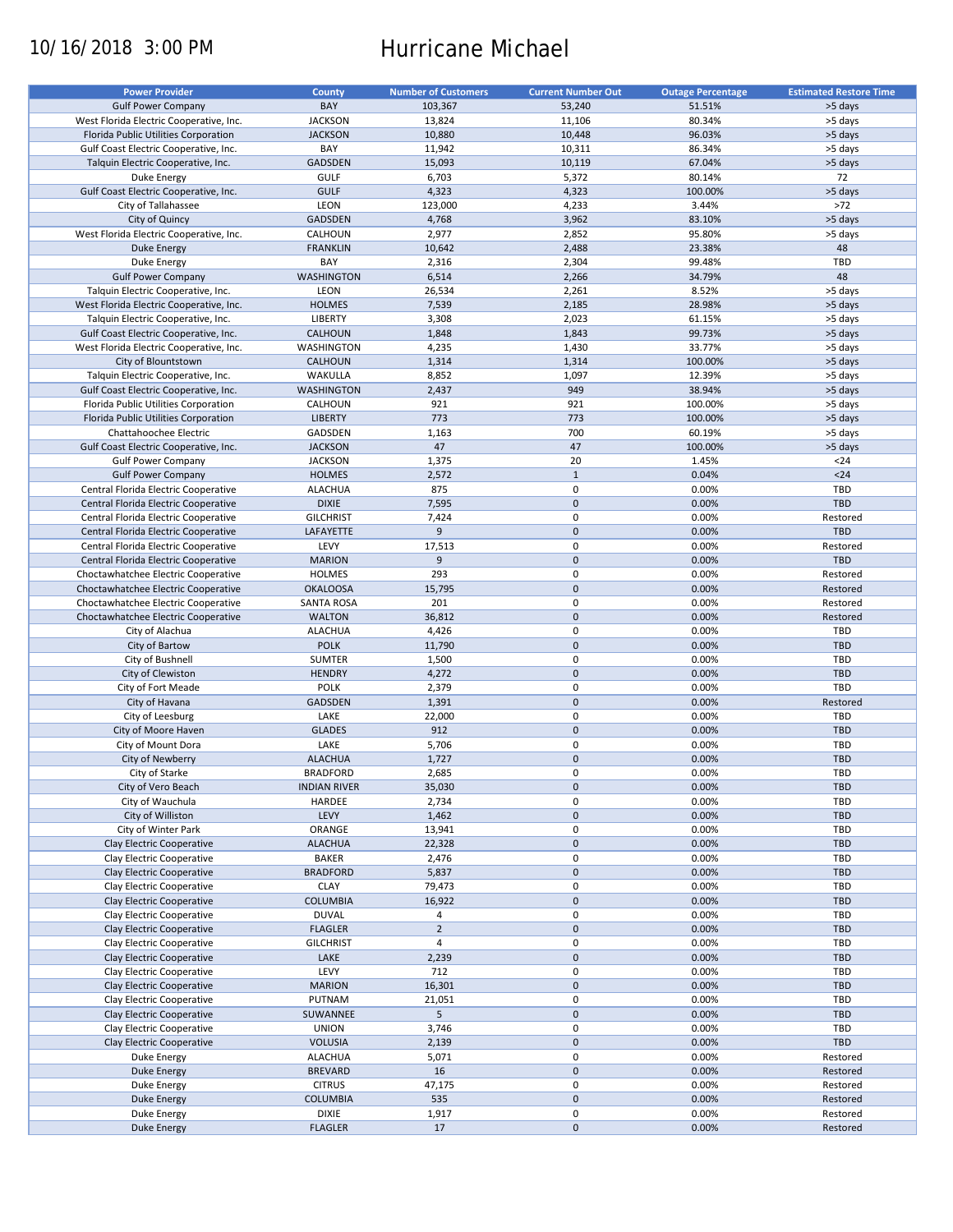# 10/16/2018 3:00 PM Hurricane Michael

| <b>Power Provider</b>                   | <b>County</b>       | <b>Number of Customers</b> | <b>Current Number Out</b> | <b>Outage Percentage</b> | <b>Estimated Restore Time</b> |
|-----------------------------------------|---------------------|----------------------------|---------------------------|--------------------------|-------------------------------|
| <b>Gulf Power Company</b>               | BAY                 |                            |                           |                          |                               |
|                                         |                     | 103,367                    | 53,240                    | 51.51%                   | >5 days                       |
| West Florida Electric Cooperative, Inc. | <b>JACKSON</b>      | 13,824                     | 11,106                    | 80.34%                   | >5 days                       |
| Florida Public Utilities Corporation    | <b>JACKSON</b>      | 10,880                     | 10,448                    | 96.03%                   | >5 days                       |
| Gulf Coast Electric Cooperative, Inc.   | BAY                 | 11,942                     | 10,311                    | 86.34%                   | >5 days                       |
| Talquin Electric Cooperative, Inc.      | GADSDEN             | 15,093                     | 10,119                    | 67.04%                   | >5 days                       |
| Duke Energy                             | <b>GULF</b>         | 6,703                      | 5,372                     | 80.14%                   | 72                            |
| Gulf Coast Electric Cooperative, Inc.   | <b>GULF</b>         | 4,323                      | 4,323                     | 100.00%                  | >5 days                       |
| City of Tallahassee                     | LEON                | 123,000                    | 4,233                     | 3.44%                    | $>72$                         |
| City of Quincy                          | <b>GADSDEN</b>      | 4,768                      | 3,962                     | 83.10%                   | >5 days                       |
| West Florida Electric Cooperative, Inc. | CALHOUN             | 2,977                      | 2,852                     | 95.80%                   | >5 days                       |
|                                         | <b>FRANKLIN</b>     |                            | 2,488                     | 23.38%                   | 48                            |
| Duke Energy                             |                     | 10,642                     |                           |                          |                               |
| Duke Energy                             | BAY                 | 2,316                      | 2,304                     | 99.48%                   | TBD                           |
| <b>Gulf Power Company</b>               | <b>WASHINGTON</b>   | 6,514                      | 2,266                     | 34.79%                   | 48                            |
| Talquin Electric Cooperative, Inc.      | LEON                | 26,534                     | 2,261                     | 8.52%                    | >5 days                       |
| West Florida Electric Cooperative, Inc. | <b>HOLMES</b>       | 7,539                      | 2,185                     | 28.98%                   | >5 days                       |
| Talquin Electric Cooperative, Inc.      | <b>LIBERTY</b>      | 3,308                      | 2,023                     | 61.15%                   | >5 days                       |
| Gulf Coast Electric Cooperative, Inc.   | <b>CALHOUN</b>      | 1,848                      | 1,843                     | 99.73%                   | >5 days                       |
| West Florida Electric Cooperative, Inc. | WASHINGTON          | 4,235                      | 1,430                     | 33.77%                   | >5 days                       |
| City of Blountstown                     | <b>CALHOUN</b>      | 1,314                      | 1,314                     | 100.00%                  | >5 days                       |
|                                         |                     |                            |                           |                          |                               |
| Talquin Electric Cooperative, Inc.      | WAKULLA             | 8,852                      | 1,097                     | 12.39%                   | >5 days                       |
| Gulf Coast Electric Cooperative, Inc.   | <b>WASHINGTON</b>   | 2,437                      | 949                       | 38.94%                   | >5 days                       |
| Florida Public Utilities Corporation    | CALHOUN             | 921                        | 921                       | 100.00%                  | >5 days                       |
| Florida Public Utilities Corporation    | <b>LIBERTY</b>      | 773                        | 773                       | 100.00%                  | >5 days                       |
| Chattahoochee Electric                  | GADSDEN             | 1,163                      | 700                       | 60.19%                   | >5 days                       |
| Gulf Coast Electric Cooperative, Inc.   | <b>JACKSON</b>      | 47                         | 47                        | 100.00%                  | >5 days                       |
| <b>Gulf Power Company</b>               | <b>JACKSON</b>      | 1,375                      | 20                        | 1.45%                    | $24$                          |
| <b>Gulf Power Company</b>               | <b>HOLMES</b>       | 2,572                      | $\mathbf{1}$              | 0.04%                    | $24$                          |
| Central Florida Electric Cooperative    |                     |                            | 0                         |                          | TBD                           |
|                                         | <b>ALACHUA</b>      | 875                        |                           | 0.00%                    |                               |
| Central Florida Electric Cooperative    | <b>DIXIE</b>        | 7,595                      | $\mathbf 0$               | 0.00%                    | <b>TBD</b>                    |
| Central Florida Electric Cooperative    | <b>GILCHRIST</b>    | 7,424                      | $\pmb{0}$                 | 0.00%                    | Restored                      |
| Central Florida Electric Cooperative    | LAFAYETTE           | 9                          | $\mathbf 0$               | 0.00%                    | <b>TBD</b>                    |
| Central Florida Electric Cooperative    | LEVY                | 17,513                     | 0                         | 0.00%                    | Restored                      |
| Central Florida Electric Cooperative    | <b>MARION</b>       | 9                          | $\mathbf 0$               | 0.00%                    | <b>TBD</b>                    |
| Choctawhatchee Electric Cooperative     | <b>HOLMES</b>       | 293                        | $\pmb{0}$                 | 0.00%                    | Restored                      |
| Choctawhatchee Electric Cooperative     | <b>OKALOOSA</b>     | 15,795                     | $\mathbf 0$               | 0.00%                    | Restored                      |
| Choctawhatchee Electric Cooperative     | <b>SANTA ROSA</b>   | 201                        | 0                         | 0.00%                    | Restored                      |
|                                         |                     |                            |                           |                          |                               |
| Choctawhatchee Electric Cooperative     | <b>WALTON</b>       | 36,812                     | $\mathbf 0$               | 0.00%                    | Restored                      |
| City of Alachua                         | <b>ALACHUA</b>      | 4,426                      | $\pmb{0}$                 | 0.00%                    | TBD                           |
| City of Bartow                          | <b>POLK</b>         | 11,790                     | $\mathbf 0$               | 0.00%                    | <b>TBD</b>                    |
| City of Bushnell                        | SUMTER              | 1,500                      | $\mathbf 0$               | 0.00%                    | TBD                           |
| City of Clewiston                       | <b>HENDRY</b>       | 4,272                      | $\pmb{0}$                 | 0.00%                    | TBD                           |
| City of Fort Meade                      | <b>POLK</b>         | 2,379                      | 0                         | 0.00%                    | <b>TBD</b>                    |
| City of Havana                          | GADSDEN             | 1,391                      | $\mathbf 0$               | 0.00%                    | Restored                      |
| City of Leesburg                        | LAKE                | 22,000                     | 0                         | 0.00%                    | TBD                           |
| City of Moore Haven                     | <b>GLADES</b>       | 912                        | $\mathbf 0$               | 0.00%                    | <b>TBD</b>                    |
|                                         |                     |                            |                           |                          |                               |
| City of Mount Dora                      | LAKE                | 5,706                      | 0                         | 0.00%                    | <b>TBD</b>                    |
| City of Newberry                        | <b>ALACHUA</b>      | 1,727                      | $\pmb{0}$                 | 0.00%                    | <b>TBD</b>                    |
| City of Starke                          | <b>BRADFORD</b>     | 2,685                      | $\mathbf 0$               | 0.00%                    | TBD                           |
| City of Vero Beach                      | <b>INDIAN RIVER</b> | 35,030                     | $\pmb{0}$                 | 0.00%                    | TBD                           |
| City of Wauchula                        | HARDEE              | 2,734                      | 0                         | 0.00%                    | TBD                           |
| City of Williston                       | LEVY                | 1,462                      | $\pmb{0}$                 | 0.00%                    | <b>TBD</b>                    |
| City of Winter Park                     | ORANGE              | 13,941                     | 0                         | 0.00%                    | TBD                           |
| <b>Clay Electric Cooperative</b>        |                     |                            | $\mathsf{O}\xspace$       | 0.00%                    | TBD                           |
|                                         | <b>ALACHUA</b>      | 22,328                     |                           |                          |                               |
| Clay Electric Cooperative               | <b>BAKER</b>        | 2,476                      | $\pmb{0}$                 | 0.00%                    | TBD                           |
| Clay Electric Cooperative               | <b>BRADFORD</b>     | 5,837                      | $\mathsf{O}\xspace$       | 0.00%                    | TBD                           |
| Clay Electric Cooperative               | <b>CLAY</b>         | 79,473                     | 0                         | 0.00%                    | TBD                           |
| Clay Electric Cooperative               | <b>COLUMBIA</b>     | 16,922                     | $\mathsf{O}\xspace$       | 0.00%                    | <b>TBD</b>                    |
| Clay Electric Cooperative               | <b>DUVAL</b>        | 4                          | 0                         | 0.00%                    | TBD                           |
| Clay Electric Cooperative               | <b>FLAGLER</b>      | $\mathbf 2$                | $\pmb{0}$                 | 0.00%                    | <b>TBD</b>                    |
| Clay Electric Cooperative               | <b>GILCHRIST</b>    | $\overline{4}$             | 0                         | 0.00%                    | TBD                           |
| Clay Electric Cooperative               | LAKE                | 2,239                      | $\pmb{0}$                 | 0.00%                    | <b>TBD</b>                    |
|                                         |                     |                            |                           |                          |                               |
| Clay Electric Cooperative               | LEVY                | 712                        | $\pmb{0}$                 | 0.00%                    | TBD                           |
| Clay Electric Cooperative               | <b>MARION</b>       | 16,301                     | $\pmb{0}$                 | 0.00%                    | <b>TBD</b>                    |
| Clay Electric Cooperative               | PUTNAM              | 21,051                     | 0                         | 0.00%                    | TBD                           |
| Clay Electric Cooperative               | SUWANNEE            | 5                          | $\pmb{0}$                 | 0.00%                    | <b>TBD</b>                    |
| Clay Electric Cooperative               | <b>UNION</b>        | 3,746                      | $\pmb{0}$                 | 0.00%                    | TBD                           |
| Clay Electric Cooperative               | <b>VOLUSIA</b>      | 2,139                      | $\pmb{0}$                 | 0.00%                    | TBD                           |
| Duke Energy                             | <b>ALACHUA</b>      | 5,071                      | $\pmb{0}$                 | 0.00%                    | Restored                      |
| <b>Duke Energy</b>                      | <b>BREVARD</b>      | 16                         | $\pmb{0}$                 | 0.00%                    | Restored                      |
|                                         |                     |                            | 0                         |                          |                               |
| Duke Energy                             | <b>CITRUS</b>       | 47,175                     |                           | 0.00%                    | Restored                      |
| <b>Duke Energy</b>                      | <b>COLUMBIA</b>     | 535                        | $\pmb{0}$                 | 0.00%                    | Restored                      |
| Duke Energy                             | DIXIE               | 1,917                      | 0                         | 0.00%                    | Restored                      |
| Duke Energy                             | <b>FLAGLER</b>      | 17                         | $\pmb{0}$                 | 0.00%                    | Restored                      |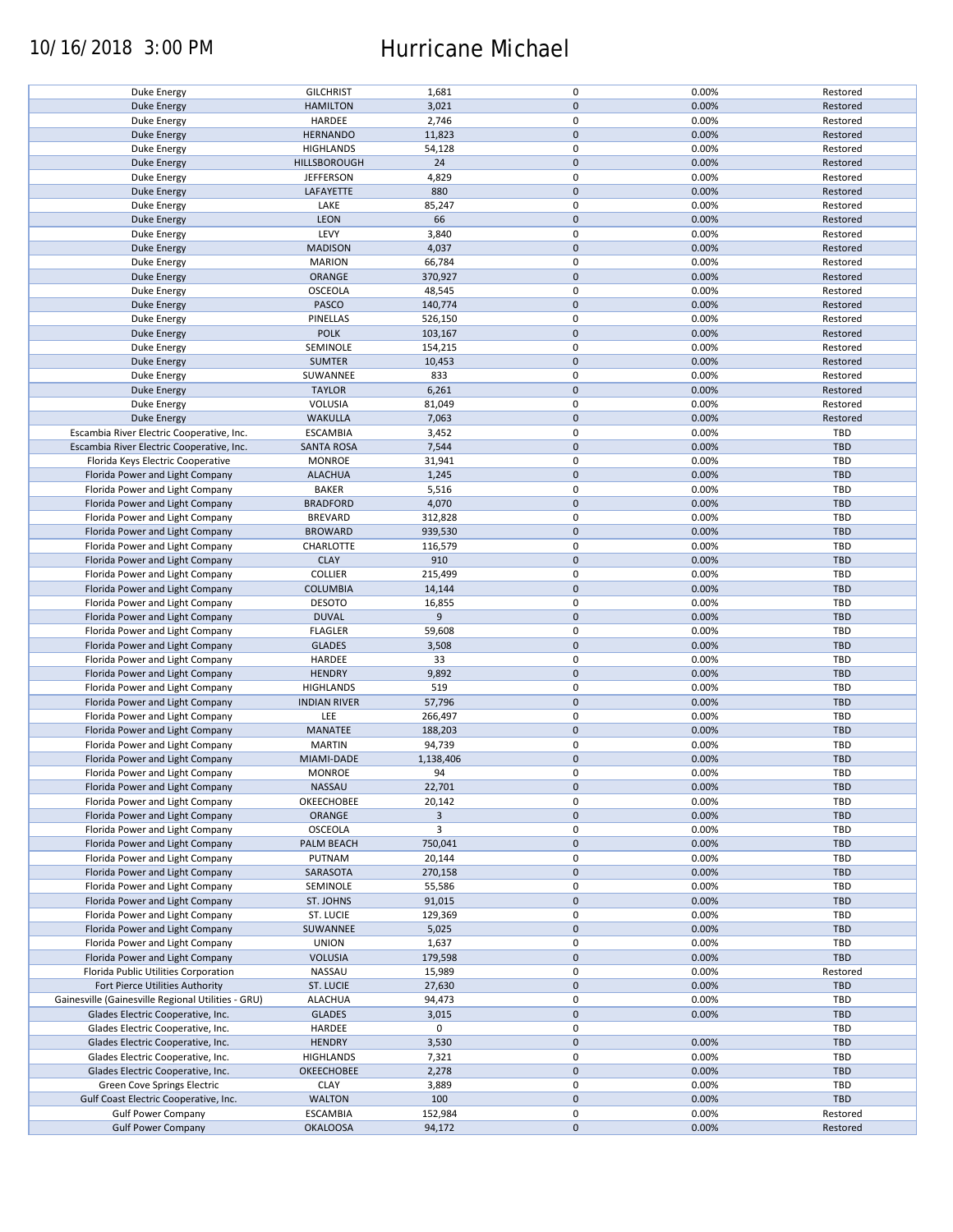## 10/16/2018 3:00 PM Hurricane Michael

| Duke Energy                                        |                     |              | 0           | 0.00% | Restored   |
|----------------------------------------------------|---------------------|--------------|-------------|-------|------------|
|                                                    | <b>GILCHRIST</b>    | 1,681        |             |       |            |
| <b>Duke Energy</b>                                 | <b>HAMILTON</b>     | 3,021        | $\pmb{0}$   | 0.00% | Restored   |
| Duke Energy                                        | HARDEE              | 2,746        | 0           | 0.00% | Restored   |
| <b>Duke Energy</b>                                 | <b>HERNANDO</b>     | 11,823       | $\pmb{0}$   | 0.00% | Restored   |
|                                                    |                     |              | 0           |       |            |
| Duke Energy                                        | <b>HIGHLANDS</b>    | 54,128       |             | 0.00% | Restored   |
| Duke Energy                                        | HILLSBOROUGH        | 24           | $\mathbf 0$ | 0.00% | Restored   |
| Duke Energy                                        | <b>JEFFERSON</b>    | 4,829        | 0           | 0.00% | Restored   |
| <b>Duke Energy</b>                                 | LAFAYETTE           | 880          | $\pmb{0}$   | 0.00% | Restored   |
|                                                    |                     | 85,247       | 0           | 0.00% |            |
| Duke Energy                                        | LAKE                |              |             |       | Restored   |
| <b>Duke Energy</b>                                 | LEON                | 66           | $\pmb{0}$   | 0.00% | Restored   |
| Duke Energy                                        | LEVY                | 3,840        | 0           | 0.00% | Restored   |
| <b>Duke Energy</b>                                 | <b>MADISON</b>      | 4,037        | $\pmb{0}$   | 0.00% | Restored   |
| Duke Energy                                        | <b>MARION</b>       | 66,784       | 0           | 0.00% | Restored   |
|                                                    |                     |              |             |       |            |
| Duke Energy                                        | ORANGE              | 370,927      | $\mathbf 0$ | 0.00% | Restored   |
| Duke Energy                                        | OSCEOLA             | 48,545       | 0           | 0.00% | Restored   |
| <b>Duke Energy</b>                                 | PASCO               | 140,774      | $\mathbf 0$ | 0.00% | Restored   |
| Duke Energy                                        | PINELLAS            | 526,150      | 0           | 0.00% | Restored   |
|                                                    |                     |              |             |       |            |
| <b>Duke Energy</b>                                 | <b>POLK</b>         | 103,167      | $\pmb{0}$   | 0.00% | Restored   |
| Duke Energy                                        | SEMINOLE            | 154,215      | $\pmb{0}$   | 0.00% | Restored   |
| <b>Duke Energy</b>                                 | <b>SUMTER</b>       | 10,453       | $\pmb{0}$   | 0.00% | Restored   |
|                                                    |                     |              |             |       |            |
| Duke Energy                                        | SUWANNEE            | 833          | 0           | 0.00% | Restored   |
| <b>Duke Energy</b>                                 | <b>TAYLOR</b>       | 6,261        | $\pmb{0}$   | 0.00% | Restored   |
| Duke Energy                                        | VOLUSIA             | 81,049       | 0           | 0.00% | Restored   |
|                                                    |                     |              |             |       |            |
| <b>Duke Energy</b>                                 | <b>WAKULLA</b>      | 7,063        | $\pmb{0}$   | 0.00% | Restored   |
| Escambia River Electric Cooperative, Inc.          | <b>ESCAMBIA</b>     | 3,452        | $\mathbf 0$ | 0.00% | TBD        |
| Escambia River Electric Cooperative, Inc.          | <b>SANTA ROSA</b>   | 7,544        | $\pmb{0}$   | 0.00% | <b>TBD</b> |
| Florida Keys Electric Cooperative                  | <b>MONROE</b>       | 31,941       | $\mathbf 0$ | 0.00% | TBD        |
|                                                    |                     |              |             |       |            |
| Florida Power and Light Company                    | <b>ALACHUA</b>      | 1,245        | $\pmb{0}$   | 0.00% | <b>TBD</b> |
| Florida Power and Light Company                    | <b>BAKER</b>        | 5,516        | $\mathbf 0$ | 0.00% | <b>TBD</b> |
| Florida Power and Light Company                    | <b>BRADFORD</b>     | 4,070        | $\pmb{0}$   | 0.00% | <b>TBD</b> |
|                                                    |                     |              |             |       |            |
| Florida Power and Light Company                    | <b>BREVARD</b>      | 312,828      | $\mathbf 0$ | 0.00% | TBD        |
| Florida Power and Light Company                    | <b>BROWARD</b>      | 939,530      | $\pmb{0}$   | 0.00% | <b>TBD</b> |
| Florida Power and Light Company                    | CHARLOTTE           | 116,579      | 0           | 0.00% | TBD        |
|                                                    | <b>CLAY</b>         | 910          | $\pmb{0}$   | 0.00% | <b>TBD</b> |
| Florida Power and Light Company                    |                     |              |             |       |            |
| Florida Power and Light Company                    | <b>COLLIER</b>      | 215,499      | $\pmb{0}$   | 0.00% | TBD        |
| Florida Power and Light Company                    | <b>COLUMBIA</b>     | 14,144       | $\pmb{0}$   | 0.00% | <b>TBD</b> |
| Florida Power and Light Company                    | <b>DESOTO</b>       | 16,855       | 0           | 0.00% | TBD        |
|                                                    |                     |              |             |       |            |
| Florida Power and Light Company                    | <b>DUVAL</b>        | 9            | $\mathbf 0$ | 0.00% | <b>TBD</b> |
| Florida Power and Light Company                    | <b>FLAGLER</b>      | 59,608       | 0           | 0.00% | TBD        |
| Florida Power and Light Company                    | <b>GLADES</b>       | 3,508        | $\pmb{0}$   | 0.00% | <b>TBD</b> |
|                                                    |                     |              |             |       |            |
| Florida Power and Light Company                    | HARDEE              | 33           | 0           | 0.00% | TBD        |
| Florida Power and Light Company                    | <b>HENDRY</b>       | 9,892        | $\pmb{0}$   | 0.00% | <b>TBD</b> |
| Florida Power and Light Company                    | <b>HIGHLANDS</b>    | 519          | 0           | 0.00% | <b>TBD</b> |
| Florida Power and Light Company                    | <b>INDIAN RIVER</b> | 57,796       | $\mathbf 0$ | 0.00% | <b>TBD</b> |
|                                                    |                     |              |             |       |            |
| Florida Power and Light Company                    | LEE                 | 266,497      | 0           | 0.00% | TBD        |
| Florida Power and Light Company                    | MANATEE             | 188,203      | $\mathbf 0$ | 0.00% | <b>TBD</b> |
| Florida Power and Light Company                    | <b>MARTIN</b>       | 94,739       | 0           | 0.00% | TBD        |
|                                                    |                     |              |             |       |            |
| Florida Power and Light Company                    | MIAMI-DADE          | 1,138,406    | $\pmb{0}$   | 0.00% | <b>TBD</b> |
| Florida Power and Light Company                    | <b>MONROE</b>       | 94           | $\mathbf 0$ | 0.00% | TBD        |
| Florida Power and Light Company                    | NASSAU              | 22,701       | 0           | 0.00% | <b>TBD</b> |
| Florida Power and Light Company                    |                     |              |             |       |            |
|                                                    | OKEECHOBEE          | 20,142       | 0           | 0.00% | TBD        |
| Florida Power and Light Company                    | ORANGE              | $\mathbf{3}$ | $\pmb{0}$   | 0.00% | <b>TBD</b> |
| Florida Power and Light Company                    | OSCEOLA             | 3            | 0           | 0.00% | TBD        |
| Florida Power and Light Company                    | PALM BEACH          | 750,041      | $\pmb{0}$   | 0.00% | <b>TBD</b> |
|                                                    |                     |              |             |       |            |
| Florida Power and Light Company                    | PUTNAM              | 20,144       | 0           | 0.00% | TBD        |
| Florida Power and Light Company                    | SARASOTA            | 270,158      | $\pmb{0}$   | 0.00% | <b>TBD</b> |
| Florida Power and Light Company                    | SEMINOLE            | 55,586       | 0           | 0.00% | TBD        |
|                                                    |                     |              |             |       |            |
| Florida Power and Light Company                    | ST. JOHNS           | 91,015       | $\pmb{0}$   | 0.00% | <b>TBD</b> |
| Florida Power and Light Company                    | ST. LUCIE           | 129,369      | 0           | 0.00% | TBD        |
| Florida Power and Light Company                    | SUWANNEE            | 5,025        | $\mathbf 0$ | 0.00% | <b>TBD</b> |
| Florida Power and Light Company                    | <b>UNION</b>        |              | 0           | 0.00% | TBD        |
|                                                    |                     | 1,637        |             |       |            |
| Florida Power and Light Company                    | <b>VOLUSIA</b>      | 179,598      | 0           | 0.00% | <b>TBD</b> |
| Florida Public Utilities Corporation               | NASSAU              | 15,989       | 0           | 0.00% | Restored   |
| Fort Pierce Utilities Authority                    | ST. LUCIE           | 27,630       | $\pmb{0}$   | 0.00% | <b>TBD</b> |
|                                                    |                     |              |             |       |            |
| Gainesville (Gainesville Regional Utilities - GRU) | <b>ALACHUA</b>      | 94,473       | 0           | 0.00% | TBD        |
| Glades Electric Cooperative, Inc.                  | <b>GLADES</b>       | 3,015        | $\pmb{0}$   | 0.00% | <b>TBD</b> |
| Glades Electric Cooperative, Inc.                  | HARDEE              | 0            | 0           |       | TBD        |
| Glades Electric Cooperative, Inc.                  |                     |              | $\pmb{0}$   |       |            |
|                                                    |                     |              |             | 0.00% | <b>TBD</b> |
|                                                    | <b>HENDRY</b>       | 3,530        |             |       |            |
| Glades Electric Cooperative, Inc.                  | <b>HIGHLANDS</b>    | 7,321        | 0           | 0.00% | TBD        |
|                                                    |                     |              |             |       |            |
| Glades Electric Cooperative, Inc.                  | OKEECHOBEE          | 2,278        | $\pmb{0}$   | 0.00% | <b>TBD</b> |
| Green Cove Springs Electric                        | <b>CLAY</b>         | 3,889        | 0           | 0.00% | TBD        |
| Gulf Coast Electric Cooperative, Inc.              | <b>WALTON</b>       | 100          | $\pmb{0}$   | 0.00% | TBD        |
| <b>Gulf Power Company</b>                          | <b>ESCAMBIA</b>     | 152,984      | 0           | 0.00% | Restored   |
| <b>Gulf Power Company</b>                          | <b>OKALOOSA</b>     | 94,172       | $\pmb{0}$   | 0.00% | Restored   |